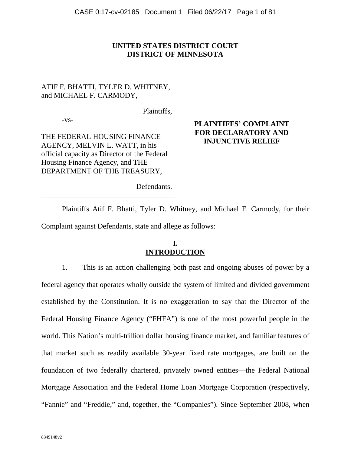## **UNITED STATES DISTRICT COURT DISTRICT OF MINNESOTA**

# ATIF F. BHATTI, TYLER D. WHITNEY, and MICHAEL F. CARMODY,

Plaintiffs,

-vs-

THE FEDERAL HOUSING FINANCE AGENCY, MELVIN L. WATT, in his official capacity as Director of the Federal Housing Finance Agency, and THE DEPARTMENT OF THE TREASURY,

## **PLAINTIFFS' COMPLAINT FOR DECLARATORY AND INJUNCTIVE RELIEF**

Defendants.

Plaintiffs Atif F. Bhatti, Tyler D. Whitney, and Michael F. Carmody, for their Complaint against Defendants, state and allege as follows:

## **I. INTRODUCTION**

1. This is an action challenging both past and ongoing abuses of power by a federal agency that operates wholly outside the system of limited and divided government established by the Constitution. It is no exaggeration to say that the Director of the Federal Housing Finance Agency ("FHFA") is one of the most powerful people in the world. This Nation's multi-trillion dollar housing finance market, and familiar features of that market such as readily available 30-year fixed rate mortgages, are built on the foundation of two federally chartered, privately owned entities—the Federal National Mortgage Association and the Federal Home Loan Mortgage Corporation (respectively, "Fannie" and "Freddie," and, together, the "Companies"). Since September 2008, when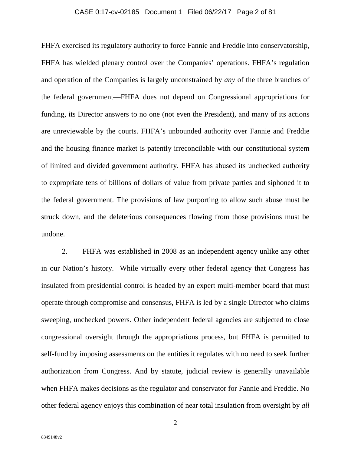## CASE 0:17-cv-02185 Document 1 Filed 06/22/17 Page 2 of 81

FHFA exercised its regulatory authority to force Fannie and Freddie into conservatorship, FHFA has wielded plenary control over the Companies' operations. FHFA's regulation and operation of the Companies is largely unconstrained by *any* of the three branches of the federal government—FHFA does not depend on Congressional appropriations for funding, its Director answers to no one (not even the President), and many of its actions are unreviewable by the courts. FHFA's unbounded authority over Fannie and Freddie and the housing finance market is patently irreconcilable with our constitutional system of limited and divided government authority. FHFA has abused its unchecked authority to expropriate tens of billions of dollars of value from private parties and siphoned it to the federal government. The provisions of law purporting to allow such abuse must be struck down, and the deleterious consequences flowing from those provisions must be undone.

2. FHFA was established in 2008 as an independent agency unlike any other in our Nation's history. While virtually every other federal agency that Congress has insulated from presidential control is headed by an expert multi-member board that must operate through compromise and consensus, FHFA is led by a single Director who claims sweeping, unchecked powers. Other independent federal agencies are subjected to close congressional oversight through the appropriations process, but FHFA is permitted to self-fund by imposing assessments on the entities it regulates with no need to seek further authorization from Congress. And by statute, judicial review is generally unavailable when FHFA makes decisions as the regulator and conservator for Fannie and Freddie. No other federal agency enjoys this combination of near total insulation from oversight by *all*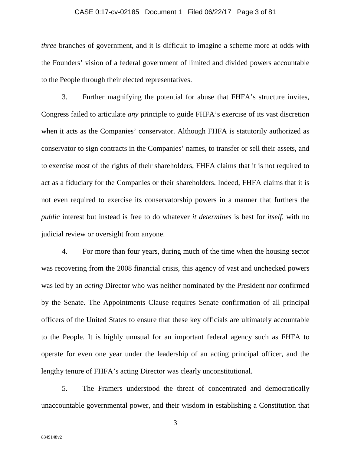#### CASE 0:17-cv-02185 Document 1 Filed 06/22/17 Page 3 of 81

*three* branches of government, and it is difficult to imagine a scheme more at odds with the Founders' vision of a federal government of limited and divided powers accountable to the People through their elected representatives.

3. Further magnifying the potential for abuse that FHFA's structure invites, Congress failed to articulate *any* principle to guide FHFA's exercise of its vast discretion when it acts as the Companies' conservator. Although FHFA is statutorily authorized as conservator to sign contracts in the Companies' names, to transfer or sell their assets, and to exercise most of the rights of their shareholders, FHFA claims that it is not required to act as a fiduciary for the Companies or their shareholders. Indeed, FHFA claims that it is not even required to exercise its conservatorship powers in a manner that furthers the *public* interest but instead is free to do whatever *it determines* is best for *itself*, with no judicial review or oversight from anyone.

4. For more than four years, during much of the time when the housing sector was recovering from the 2008 financial crisis, this agency of vast and unchecked powers was led by an *acting* Director who was neither nominated by the President nor confirmed by the Senate. The Appointments Clause requires Senate confirmation of all principal officers of the United States to ensure that these key officials are ultimately accountable to the People. It is highly unusual for an important federal agency such as FHFA to operate for even one year under the leadership of an acting principal officer, and the lengthy tenure of FHFA's acting Director was clearly unconstitutional.

5. The Framers understood the threat of concentrated and democratically unaccountable governmental power, and their wisdom in establishing a Constitution that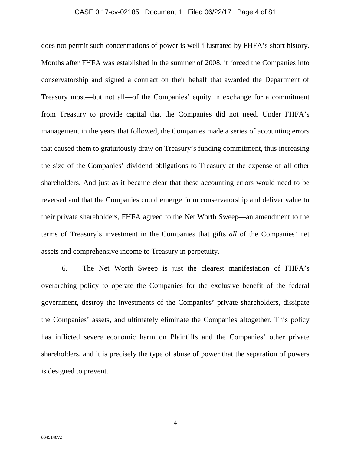## CASE 0:17-cv-02185 Document 1 Filed 06/22/17 Page 4 of 81

does not permit such concentrations of power is well illustrated by FHFA's short history. Months after FHFA was established in the summer of 2008, it forced the Companies into conservatorship and signed a contract on their behalf that awarded the Department of Treasury most—but not all—of the Companies' equity in exchange for a commitment from Treasury to provide capital that the Companies did not need. Under FHFA's management in the years that followed, the Companies made a series of accounting errors that caused them to gratuitously draw on Treasury's funding commitment, thus increasing the size of the Companies' dividend obligations to Treasury at the expense of all other shareholders. And just as it became clear that these accounting errors would need to be reversed and that the Companies could emerge from conservatorship and deliver value to their private shareholders, FHFA agreed to the Net Worth Sweep—an amendment to the terms of Treasury's investment in the Companies that gifts *all* of the Companies' net assets and comprehensive income to Treasury in perpetuity.

6. The Net Worth Sweep is just the clearest manifestation of FHFA's overarching policy to operate the Companies for the exclusive benefit of the federal government, destroy the investments of the Companies' private shareholders, dissipate the Companies' assets, and ultimately eliminate the Companies altogether. This policy has inflicted severe economic harm on Plaintiffs and the Companies' other private shareholders, and it is precisely the type of abuse of power that the separation of powers is designed to prevent.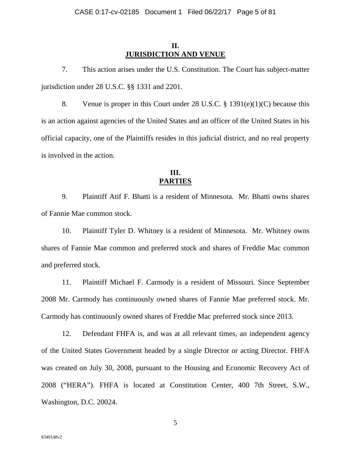## **II. JURISDICTION AND VENUE**

7. This action arises under the U.S. Constitution. The Court has subject-matter jurisdiction under 28 U.S.C. §§ 1331 and 2201.

8. Venue is proper in this Court under 28 U.S.C. § 1391(e)(1)(C) because this is an action against agencies of the United States and an officer of the United States in his official capacity, one of the Plaintiffs resides in this judicial district, and no real property is involved in the action.

# **III. PARTIES**

9. Plaintiff Atif F. Bhatti is a resident of Minnesota. Mr. Bhatti owns shares of Fannie Mae common stock.

10. Plaintiff Tyler D. Whitney is a resident of Minnesota. Mr. Whitney owns shares of Fannie Mae common and preferred stock and shares of Freddie Mac common and preferred stock.

11. Plaintiff Michael F. Carmody is a resident of Missouri. Since September 2008 Mr. Carmody has continuously owned shares of Fannie Mae preferred stock. Mr. Carmody has continuously owned shares of Freddie Mac preferred stock since 2013.

12. Defendant FHFA is, and was at all relevant times, an independent agency of the United States Government headed by a single Director or acting Director. FHFA was created on July 30, 2008, pursuant to the Housing and Economic Recovery Act of 2008 ("HERA"). FHFA is located at Constitution Center, 400 7th Street, S.W., Washington, D.C. 20024.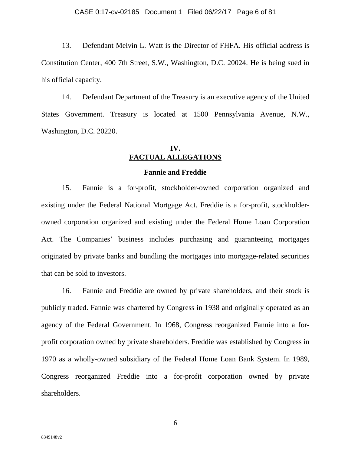#### CASE 0:17-cv-02185 Document 1 Filed 06/22/17 Page 6 of 81

13. Defendant Melvin L. Watt is the Director of FHFA. His official address is Constitution Center, 400 7th Street, S.W., Washington, D.C. 20024. He is being sued in his official capacity.

14. Defendant Department of the Treasury is an executive agency of the United States Government. Treasury is located at 1500 Pennsylvania Avenue, N.W., Washington, D.C. 20220.

# **IV. FACTUAL ALLEGATIONS**

### **Fannie and Freddie**

15. Fannie is a for-profit, stockholder-owned corporation organized and existing under the Federal National Mortgage Act. Freddie is a for-profit, stockholderowned corporation organized and existing under the Federal Home Loan Corporation Act. The Companies' business includes purchasing and guaranteeing mortgages originated by private banks and bundling the mortgages into mortgage-related securities that can be sold to investors.

16. Fannie and Freddie are owned by private shareholders, and their stock is publicly traded. Fannie was chartered by Congress in 1938 and originally operated as an agency of the Federal Government. In 1968, Congress reorganized Fannie into a forprofit corporation owned by private shareholders. Freddie was established by Congress in 1970 as a wholly-owned subsidiary of the Federal Home Loan Bank System. In 1989, Congress reorganized Freddie into a for-profit corporation owned by private shareholders.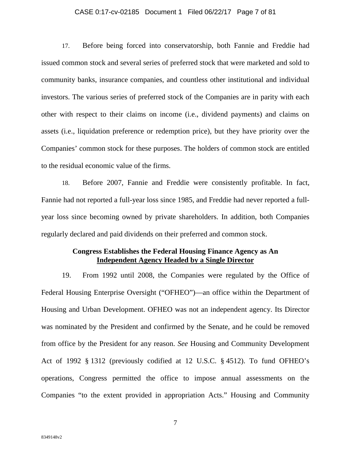#### CASE 0:17-cv-02185 Document 1 Filed 06/22/17 Page 7 of 81

17. Before being forced into conservatorship, both Fannie and Freddie had issued common stock and several series of preferred stock that were marketed and sold to community banks, insurance companies, and countless other institutional and individual investors. The various series of preferred stock of the Companies are in parity with each other with respect to their claims on income (i.e., dividend payments) and claims on assets (i.e., liquidation preference or redemption price), but they have priority over the Companies' common stock for these purposes. The holders of common stock are entitled to the residual economic value of the firms.

18. Before 2007, Fannie and Freddie were consistently profitable. In fact, Fannie had not reported a full-year loss since 1985, and Freddie had never reported a fullyear loss since becoming owned by private shareholders. In addition, both Companies regularly declared and paid dividends on their preferred and common stock.

## **Congress Establishes the Federal Housing Finance Agency as An Independent Agency Headed by a Single Director**

19. From 1992 until 2008, the Companies were regulated by the Office of Federal Housing Enterprise Oversight ("OFHEO")—an office within the Department of Housing and Urban Development. OFHEO was not an independent agency. Its Director was nominated by the President and confirmed by the Senate, and he could be removed from office by the President for any reason. *See* Housing and Community Development Act of 1992 § 1312 (previously codified at 12 U.S.C. § 4512). To fund OFHEO's operations, Congress permitted the office to impose annual assessments on the Companies "to the extent provided in appropriation Acts." Housing and Community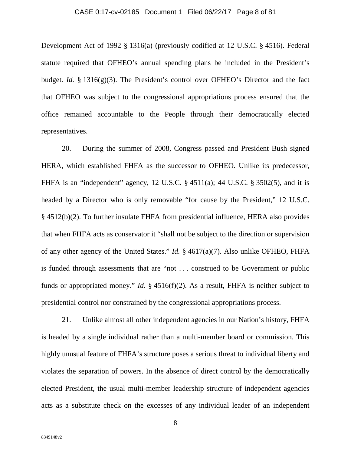## CASE 0:17-cv-02185 Document 1 Filed 06/22/17 Page 8 of 81

Development Act of 1992 § 1316(a) (previously codified at 12 U.S.C. § 4516). Federal statute required that OFHEO's annual spending plans be included in the President's budget. *Id.* § 1316(g)(3). The President's control over OFHEO's Director and the fact that OFHEO was subject to the congressional appropriations process ensured that the office remained accountable to the People through their democratically elected representatives.

20. During the summer of 2008, Congress passed and President Bush signed HERA, which established FHFA as the successor to OFHEO. Unlike its predecessor, FHFA is an "independent" agency, 12 U.S.C. § 4511(a); 44 U.S.C. § 3502(5), and it is headed by a Director who is only removable "for cause by the President," 12 U.S.C. § 4512(b)(2). To further insulate FHFA from presidential influence, HERA also provides that when FHFA acts as conservator it "shall not be subject to the direction or supervision of any other agency of the United States." *Id.* § 4617(a)(7). Also unlike OFHEO, FHFA is funded through assessments that are "not . . . construed to be Government or public funds or appropriated money." *Id.* § 4516(f)(2). As a result, FHFA is neither subject to presidential control nor constrained by the congressional appropriations process.

21. Unlike almost all other independent agencies in our Nation's history, FHFA is headed by a single individual rather than a multi-member board or commission. This highly unusual feature of FHFA's structure poses a serious threat to individual liberty and violates the separation of powers. In the absence of direct control by the democratically elected President, the usual multi-member leadership structure of independent agencies acts as a substitute check on the excesses of any individual leader of an independent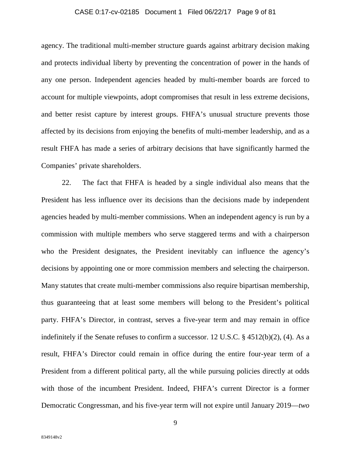## CASE 0:17-cv-02185 Document 1 Filed 06/22/17 Page 9 of 81

agency. The traditional multi-member structure guards against arbitrary decision making and protects individual liberty by preventing the concentration of power in the hands of any one person. Independent agencies headed by multi-member boards are forced to account for multiple viewpoints, adopt compromises that result in less extreme decisions, and better resist capture by interest groups. FHFA's unusual structure prevents those affected by its decisions from enjoying the benefits of multi-member leadership, and as a result FHFA has made a series of arbitrary decisions that have significantly harmed the Companies' private shareholders.

22. The fact that FHFA is headed by a single individual also means that the President has less influence over its decisions than the decisions made by independent agencies headed by multi-member commissions. When an independent agency is run by a commission with multiple members who serve staggered terms and with a chairperson who the President designates, the President inevitably can influence the agency's decisions by appointing one or more commission members and selecting the chairperson. Many statutes that create multi-member commissions also require bipartisan membership, thus guaranteeing that at least some members will belong to the President's political party. FHFA's Director, in contrast, serves a five-year term and may remain in office indefinitely if the Senate refuses to confirm a successor. 12 U.S.C. § 4512(b)(2), (4). As a result, FHFA's Director could remain in office during the entire four-year term of a President from a different political party, all the while pursuing policies directly at odds with those of the incumbent President. Indeed, FHFA's current Director is a former Democratic Congressman, and his five-year term will not expire until January 2019—*two*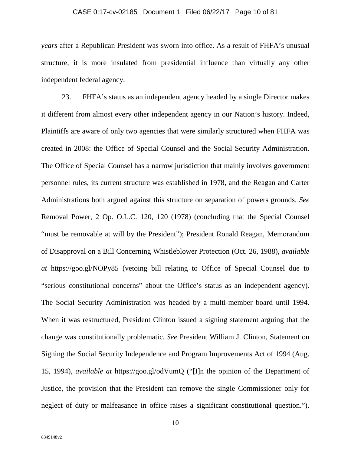## CASE 0:17-cv-02185 Document 1 Filed 06/22/17 Page 10 of 81

*years* after a Republican President was sworn into office. As a result of FHFA's unusual structure, it is more insulated from presidential influence than virtually any other independent federal agency.

23. FHFA's status as an independent agency headed by a single Director makes it different from almost every other independent agency in our Nation's history. Indeed, Plaintiffs are aware of only two agencies that were similarly structured when FHFA was created in 2008: the Office of Special Counsel and the Social Security Administration. The Office of Special Counsel has a narrow jurisdiction that mainly involves government personnel rules, its current structure was established in 1978, and the Reagan and Carter Administrations both argued against this structure on separation of powers grounds. *See*  Removal Power, 2 Op. O.L.C. 120, 120 (1978) (concluding that the Special Counsel "must be removable at will by the President"); President Ronald Reagan, Memorandum of Disapproval on a Bill Concerning Whistleblower Protection (Oct. 26, 1988), *available at* https://goo.gl/NOPy85 (vetoing bill relating to Office of Special Counsel due to "serious constitutional concerns" about the Office's status as an independent agency). The Social Security Administration was headed by a multi-member board until 1994. When it was restructured, President Clinton issued a signing statement arguing that the change was constitutionally problematic. *See* President William J. Clinton, Statement on Signing the Social Security Independence and Program Improvements Act of 1994 (Aug. 15, 1994), *available at* https://goo.gl/odVumQ ("[I]n the opinion of the Department of Justice, the provision that the President can remove the single Commissioner only for neglect of duty or malfeasance in office raises a significant constitutional question.").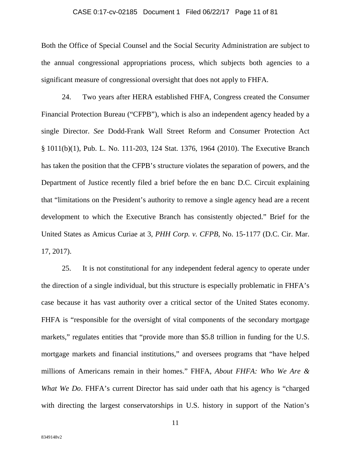## CASE 0:17-cv-02185 Document 1 Filed 06/22/17 Page 11 of 81

Both the Office of Special Counsel and the Social Security Administration are subject to the annual congressional appropriations process, which subjects both agencies to a significant measure of congressional oversight that does not apply to FHFA.

24. Two years after HERA established FHFA, Congress created the Consumer Financial Protection Bureau ("CFPB"), which is also an independent agency headed by a single Director. *See* Dodd-Frank Wall Street Reform and Consumer Protection Act § 1011(b)(1), Pub. L. No. 111-203, 124 Stat. 1376, 1964 (2010). The Executive Branch has taken the position that the CFPB's structure violates the separation of powers, and the Department of Justice recently filed a brief before the en banc D.C. Circuit explaining that "limitations on the President's authority to remove a single agency head are a recent development to which the Executive Branch has consistently objected." Brief for the United States as Amicus Curiae at 3, *PHH Corp. v. CFPB*, No. 15-1177 (D.C. Cir. Mar. 17, 2017).

25. It is not constitutional for any independent federal agency to operate under the direction of a single individual, but this structure is especially problematic in FHFA's case because it has vast authority over a critical sector of the United States economy. FHFA is "responsible for the oversight of vital components of the secondary mortgage markets," regulates entities that "provide more than \$5.8 trillion in funding for the U.S. mortgage markets and financial institutions," and oversees programs that "have helped millions of Americans remain in their homes." FHFA, *About FHFA: Who We Are & What We Do.* FHFA's current Director has said under oath that his agency is "charged" with directing the largest conservatorships in U.S. history in support of the Nation's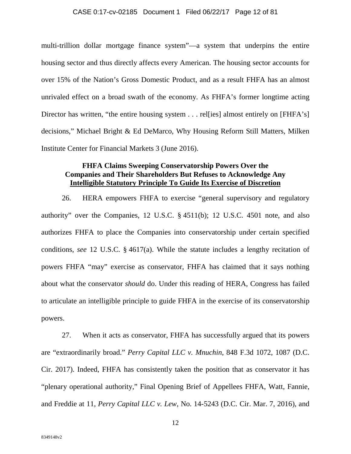#### CASE 0:17-cv-02185 Document 1 Filed 06/22/17 Page 12 of 81

multi-trillion dollar mortgage finance system"—a system that underpins the entire housing sector and thus directly affects every American. The housing sector accounts for over 15% of the Nation's Gross Domestic Product, and as a result FHFA has an almost unrivaled effect on a broad swath of the economy. As FHFA's former longtime acting Director has written, "the entire housing system . . . rellies] almost entirely on [FHFA's] decisions," Michael Bright & Ed DeMarco, Why Housing Reform Still Matters, Milken Institute Center for Financial Markets 3 (June 2016).

## **FHFA Claims Sweeping Conservatorship Powers Over the Companies and Their Shareholders But Refuses to Acknowledge Any Intelligible Statutory Principle To Guide Its Exercise of Discretion**

26. HERA empowers FHFA to exercise "general supervisory and regulatory authority" over the Companies, 12 U.S.C. § 4511(b); 12 U.S.C. 4501 note, and also authorizes FHFA to place the Companies into conservatorship under certain specified conditions, *see* 12 U.S.C. § 4617(a). While the statute includes a lengthy recitation of powers FHFA "may" exercise as conservator, FHFA has claimed that it says nothing about what the conservator *should* do. Under this reading of HERA, Congress has failed to articulate an intelligible principle to guide FHFA in the exercise of its conservatorship powers.

27. When it acts as conservator, FHFA has successfully argued that its powers are "extraordinarily broad." *Perry Capital LLC v. Mnuchin*, 848 F.3d 1072, 1087 (D.C. Cir. 2017). Indeed, FHFA has consistently taken the position that as conservator it has "plenary operational authority," Final Opening Brief of Appellees FHFA, Watt, Fannie, and Freddie at 11, *Perry Capital LLC v. Lew*, No. 14-5243 (D.C. Cir. Mar. 7, 2016), and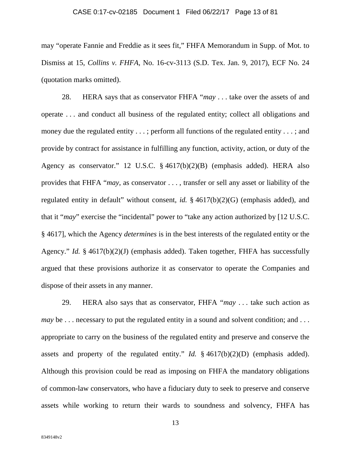#### CASE 0:17-cv-02185 Document 1 Filed 06/22/17 Page 13 of 81

may "operate Fannie and Freddie as it sees fit," FHFA Memorandum in Supp. of Mot. to Dismiss at 15, *Collins v. FHFA*, No. 16-cv-3113 (S.D. Tex. Jan. 9, 2017), ECF No. 24 (quotation marks omitted).

28. HERA says that as conservator FHFA "*may* . . . take over the assets of and operate . . . and conduct all business of the regulated entity; collect all obligations and money due the regulated entity . . . ; perform all functions of the regulated entity . . . ; and provide by contract for assistance in fulfilling any function, activity, action, or duty of the Agency as conservator." 12 U.S.C. § 4617(b)(2)(B) (emphasis added). HERA also provides that FHFA "*may*, as conservator . . . , transfer or sell any asset or liability of the regulated entity in default" without consent, *id.* § 4617(b)(2)(G) (emphasis added), and that it "*may*" exercise the "incidental" power to "take any action authorized by [12 U.S.C. § 4617], which the Agency *determines* is in the best interests of the regulated entity or the Agency." *Id.* § 4617(b)(2)(J) (emphasis added). Taken together, FHFA has successfully argued that these provisions authorize it as conservator to operate the Companies and dispose of their assets in any manner.

29. HERA also says that as conservator, FHFA "*may* . . . take such action as *may* be ... necessary to put the regulated entity in a sound and solvent condition; and ... appropriate to carry on the business of the regulated entity and preserve and conserve the assets and property of the regulated entity." *Id.* § 4617(b)(2)(D) (emphasis added). Although this provision could be read as imposing on FHFA the mandatory obligations of common-law conservators, who have a fiduciary duty to seek to preserve and conserve assets while working to return their wards to soundness and solvency, FHFA has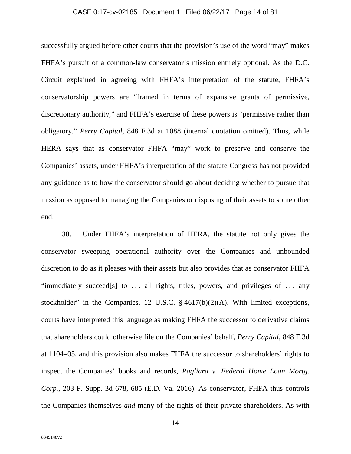## CASE 0:17-cv-02185 Document 1 Filed 06/22/17 Page 14 of 81

successfully argued before other courts that the provision's use of the word "may" makes FHFA's pursuit of a common-law conservator's mission entirely optional. As the D.C. Circuit explained in agreeing with FHFA's interpretation of the statute, FHFA's conservatorship powers are "framed in terms of expansive grants of permissive, discretionary authority," and FHFA's exercise of these powers is "permissive rather than obligatory." *Perry Capital*, 848 F.3d at 1088 (internal quotation omitted). Thus, while HERA says that as conservator FHFA "may" work to preserve and conserve the Companies' assets, under FHFA's interpretation of the statute Congress has not provided any guidance as to how the conservator should go about deciding whether to pursue that mission as opposed to managing the Companies or disposing of their assets to some other end.

30. Under FHFA's interpretation of HERA, the statute not only gives the conservator sweeping operational authority over the Companies and unbounded discretion to do as it pleases with their assets but also provides that as conservator FHFA "immediately succeed[s] to  $\dots$  all rights, titles, powers, and privileges of  $\dots$  any stockholder" in the Companies. 12 U.S.C. § 4617(b)(2)(A). With limited exceptions, courts have interpreted this language as making FHFA the successor to derivative claims that shareholders could otherwise file on the Companies' behalf, *Perry Capital*, 848 F.3d at 1104–05, and this provision also makes FHFA the successor to shareholders' rights to inspect the Companies' books and records, *Pagliara v. Federal Home Loan Mortg. Corp.*, 203 F. Supp. 3d 678, 685 (E.D. Va. 2016). As conservator, FHFA thus controls the Companies themselves *and* many of the rights of their private shareholders. As with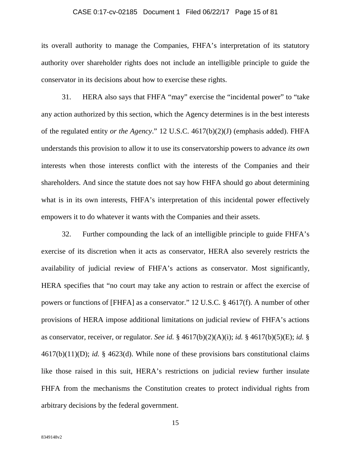#### CASE 0:17-cv-02185 Document 1 Filed 06/22/17 Page 15 of 81

its overall authority to manage the Companies, FHFA's interpretation of its statutory authority over shareholder rights does not include an intelligible principle to guide the conservator in its decisions about how to exercise these rights.

31. HERA also says that FHFA "may" exercise the "incidental power" to "take any action authorized by this section, which the Agency determines is in the best interests of the regulated entity *or the Agency*." 12 U.S.C. 4617(b)(2)(J) (emphasis added). FHFA understands this provision to allow it to use its conservatorship powers to advance *its own*  interests when those interests conflict with the interests of the Companies and their shareholders. And since the statute does not say how FHFA should go about determining what is in its own interests, FHFA's interpretation of this incidental power effectively empowers it to do whatever it wants with the Companies and their assets.

32. Further compounding the lack of an intelligible principle to guide FHFA's exercise of its discretion when it acts as conservator, HERA also severely restricts the availability of judicial review of FHFA's actions as conservator. Most significantly, HERA specifies that "no court may take any action to restrain or affect the exercise of powers or functions of [FHFA] as a conservator." 12 U.S.C. § 4617(f). A number of other provisions of HERA impose additional limitations on judicial review of FHFA's actions as conservator, receiver, or regulator. *See id.* § 4617(b)(2)(A)(i); *id.* § 4617(b)(5)(E); *id.* § 4617(b)(11)(D); *id.* § 4623(d). While none of these provisions bars constitutional claims like those raised in this suit, HERA's restrictions on judicial review further insulate FHFA from the mechanisms the Constitution creates to protect individual rights from arbitrary decisions by the federal government.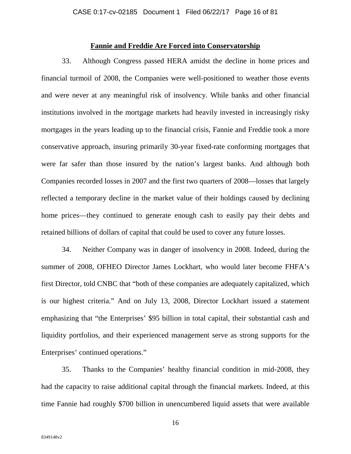## **Fannie and Freddie Are Forced into Conservatorship**

33. Although Congress passed HERA amidst the decline in home prices and financial turmoil of 2008, the Companies were well-positioned to weather those events and were never at any meaningful risk of insolvency. While banks and other financial institutions involved in the mortgage markets had heavily invested in increasingly risky mortgages in the years leading up to the financial crisis, Fannie and Freddie took a more conservative approach, insuring primarily 30-year fixed-rate conforming mortgages that were far safer than those insured by the nation's largest banks. And although both Companies recorded losses in 2007 and the first two quarters of 2008—losses that largely reflected a temporary decline in the market value of their holdings caused by declining home prices—they continued to generate enough cash to easily pay their debts and retained billions of dollars of capital that could be used to cover any future losses.

34. Neither Company was in danger of insolvency in 2008. Indeed, during the summer of 2008, OFHEO Director James Lockhart, who would later become FHFA's first Director, told CNBC that "both of these companies are adequately capitalized, which is our highest criteria." And on July 13, 2008, Director Lockhart issued a statement emphasizing that "the Enterprises' \$95 billion in total capital, their substantial cash and liquidity portfolios, and their experienced management serve as strong supports for the Enterprises' continued operations."

35. Thanks to the Companies' healthy financial condition in mid-2008, they had the capacity to raise additional capital through the financial markets. Indeed, at this time Fannie had roughly \$700 billion in unencumbered liquid assets that were available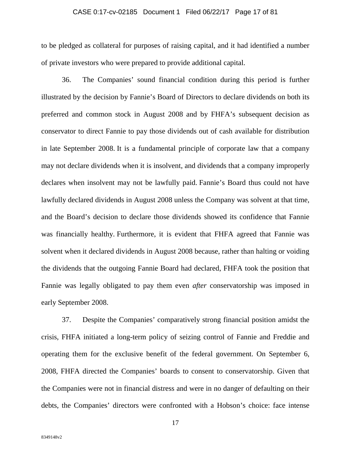#### CASE 0:17-cv-02185 Document 1 Filed 06/22/17 Page 17 of 81

to be pledged as collateral for purposes of raising capital, and it had identified a number of private investors who were prepared to provide additional capital.

36. The Companies' sound financial condition during this period is further illustrated by the decision by Fannie's Board of Directors to declare dividends on both its preferred and common stock in August 2008 and by FHFA's subsequent decision as conservator to direct Fannie to pay those dividends out of cash available for distribution in late September 2008. It is a fundamental principle of corporate law that a company may not declare dividends when it is insolvent, and dividends that a company improperly declares when insolvent may not be lawfully paid. Fannie's Board thus could not have lawfully declared dividends in August 2008 unless the Company was solvent at that time, and the Board's decision to declare those dividends showed its confidence that Fannie was financially healthy. Furthermore, it is evident that FHFA agreed that Fannie was solvent when it declared dividends in August 2008 because, rather than halting or voiding the dividends that the outgoing Fannie Board had declared, FHFA took the position that Fannie was legally obligated to pay them even *after* conservatorship was imposed in early September 2008.

37. Despite the Companies' comparatively strong financial position amidst the crisis, FHFA initiated a long-term policy of seizing control of Fannie and Freddie and operating them for the exclusive benefit of the federal government. On September 6, 2008, FHFA directed the Companies' boards to consent to conservatorship. Given that the Companies were not in financial distress and were in no danger of defaulting on their debts, the Companies' directors were confronted with a Hobson's choice: face intense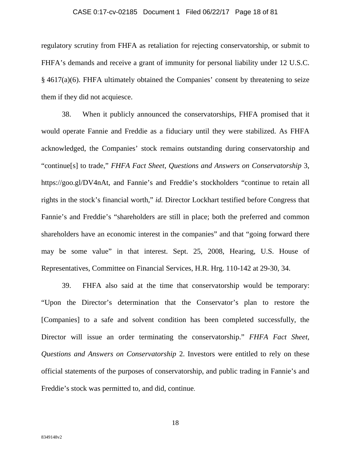## CASE 0:17-cv-02185 Document 1 Filed 06/22/17 Page 18 of 81

regulatory scrutiny from FHFA as retaliation for rejecting conservatorship, or submit to FHFA's demands and receive a grant of immunity for personal liability under 12 U.S.C. § 4617(a)(6). FHFA ultimately obtained the Companies' consent by threatening to seize them if they did not acquiesce.

38. When it publicly announced the conservatorships, FHFA promised that it would operate Fannie and Freddie as a fiduciary until they were stabilized. As FHFA acknowledged, the Companies' stock remains outstanding during conservatorship and "continue[s] to trade," *FHFA Fact Sheet, Questions and Answers on Conservatorship* 3, https://goo.gl/DV4nAt, and Fannie's and Freddie's stockholders "continue to retain all rights in the stock's financial worth," *id.* Director Lockhart testified before Congress that Fannie's and Freddie's "shareholders are still in place; both the preferred and common shareholders have an economic interest in the companies" and that "going forward there may be some value" in that interest. Sept. 25, 2008, Hearing, U.S. House of Representatives, Committee on Financial Services, H.R. Hrg. 110-142 at 29-30, 34.

39. FHFA also said at the time that conservatorship would be temporary: "Upon the Director's determination that the Conservator's plan to restore the [Companies] to a safe and solvent condition has been completed successfully, the Director will issue an order terminating the conservatorship." *FHFA Fact Sheet, Questions and Answers on Conservatorship* 2. Investors were entitled to rely on these official statements of the purposes of conservatorship, and public trading in Fannie's and Freddie's stock was permitted to, and did, continue.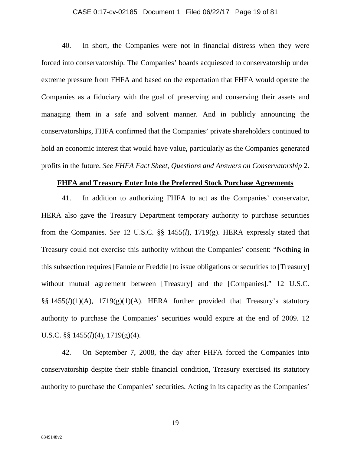## CASE 0:17-cv-02185 Document 1 Filed 06/22/17 Page 19 of 81

40. In short, the Companies were not in financial distress when they were forced into conservatorship. The Companies' boards acquiesced to conservatorship under extreme pressure from FHFA and based on the expectation that FHFA would operate the Companies as a fiduciary with the goal of preserving and conserving their assets and managing them in a safe and solvent manner. And in publicly announcing the conservatorships, FHFA confirmed that the Companies' private shareholders continued to hold an economic interest that would have value, particularly as the Companies generated profits in the future. *See FHFA Fact Sheet, Questions and Answers on Conservatorship* 2.

#### **FHFA and Treasury Enter Into the Preferred Stock Purchase Agreements**

41. In addition to authorizing FHFA to act as the Companies' conservator, HERA also gave the Treasury Department temporary authority to purchase securities from the Companies. *See* 12 U.S.C. §§ 1455(*l*), 1719(g). HERA expressly stated that Treasury could not exercise this authority without the Companies' consent: "Nothing in this subsection requires [Fannie or Freddie] to issue obligations or securities to [Treasury] without mutual agreement between [Treasury] and the [Companies]." 12 U.S.C. §§ 1455(*l*)(1)(A), 1719(g)(1)(A). HERA further provided that Treasury's statutory authority to purchase the Companies' securities would expire at the end of 2009. 12 U.S.C. §§ 1455(*l*)(4), 1719(g)(4).

42. On September 7, 2008, the day after FHFA forced the Companies into conservatorship despite their stable financial condition, Treasury exercised its statutory authority to purchase the Companies' securities. Acting in its capacity as the Companies'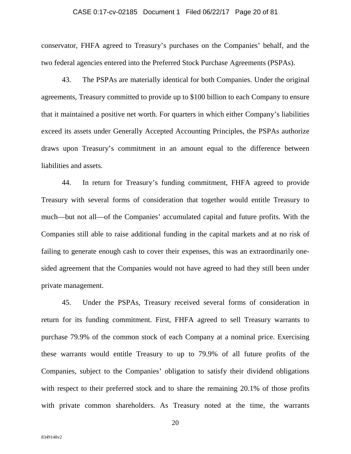#### CASE 0:17-cv-02185 Document 1 Filed 06/22/17 Page 20 of 81

conservator, FHFA agreed to Treasury's purchases on the Companies' behalf, and the two federal agencies entered into the Preferred Stock Purchase Agreements (PSPAs).

43. The PSPAs are materially identical for both Companies. Under the original agreements, Treasury committed to provide up to \$100 billion to each Company to ensure that it maintained a positive net worth. For quarters in which either Company's liabilities exceed its assets under Generally Accepted Accounting Principles, the PSPAs authorize draws upon Treasury's commitment in an amount equal to the difference between liabilities and assets.

44. In return for Treasury's funding commitment, FHFA agreed to provide Treasury with several forms of consideration that together would entitle Treasury to much—but not all—of the Companies' accumulated capital and future profits. With the Companies still able to raise additional funding in the capital markets and at no risk of failing to generate enough cash to cover their expenses, this was an extraordinarily onesided agreement that the Companies would not have agreed to had they still been under private management.

45. Under the PSPAs, Treasury received several forms of consideration in return for its funding commitment. First, FHFA agreed to sell Treasury warrants to purchase 79.9% of the common stock of each Company at a nominal price. Exercising these warrants would entitle Treasury to up to 79.9% of all future profits of the Companies, subject to the Companies' obligation to satisfy their dividend obligations with respect to their preferred stock and to share the remaining 20.1% of those profits with private common shareholders. As Treasury noted at the time, the warrants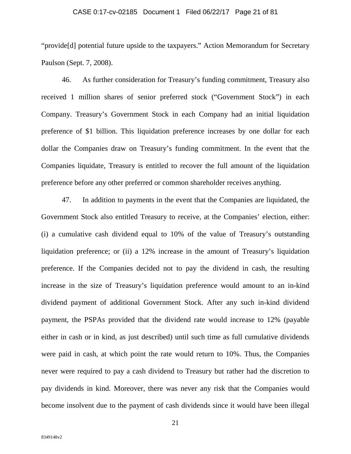#### CASE 0:17-cv-02185 Document 1 Filed 06/22/17 Page 21 of 81

"provide[d] potential future upside to the taxpayers." Action Memorandum for Secretary Paulson (Sept. 7, 2008).

46. As further consideration for Treasury's funding commitment, Treasury also received 1 million shares of senior preferred stock ("Government Stock") in each Company. Treasury's Government Stock in each Company had an initial liquidation preference of \$1 billion. This liquidation preference increases by one dollar for each dollar the Companies draw on Treasury's funding commitment. In the event that the Companies liquidate, Treasury is entitled to recover the full amount of the liquidation preference before any other preferred or common shareholder receives anything.

47. In addition to payments in the event that the Companies are liquidated, the Government Stock also entitled Treasury to receive, at the Companies' election, either: (i) a cumulative cash dividend equal to 10% of the value of Treasury's outstanding liquidation preference; or (ii) a 12% increase in the amount of Treasury's liquidation preference. If the Companies decided not to pay the dividend in cash, the resulting increase in the size of Treasury's liquidation preference would amount to an in-kind dividend payment of additional Government Stock. After any such in-kind dividend payment, the PSPAs provided that the dividend rate would increase to 12% (payable either in cash or in kind, as just described) until such time as full cumulative dividends were paid in cash, at which point the rate would return to 10%. Thus, the Companies never were required to pay a cash dividend to Treasury but rather had the discretion to pay dividends in kind. Moreover, there was never any risk that the Companies would become insolvent due to the payment of cash dividends since it would have been illegal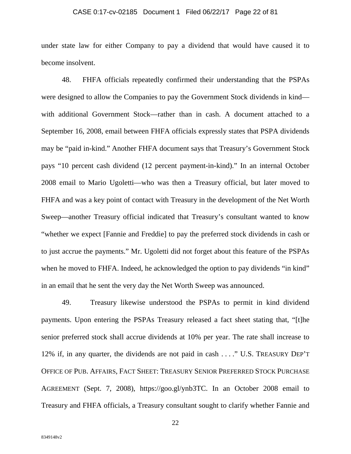## CASE 0:17-cv-02185 Document 1 Filed 06/22/17 Page 22 of 81

under state law for either Company to pay a dividend that would have caused it to become insolvent.

48. FHFA officials repeatedly confirmed their understanding that the PSPAs were designed to allow the Companies to pay the Government Stock dividends in kind with additional Government Stock—rather than in cash. A document attached to a September 16, 2008, email between FHFA officials expressly states that PSPA dividends may be "paid in-kind." Another FHFA document says that Treasury's Government Stock pays "10 percent cash dividend (12 percent payment-in-kind)." In an internal October 2008 email to Mario Ugoletti—who was then a Treasury official, but later moved to FHFA and was a key point of contact with Treasury in the development of the Net Worth Sweep—another Treasury official indicated that Treasury's consultant wanted to know "whether we expect [Fannie and Freddie] to pay the preferred stock dividends in cash or to just accrue the payments." Mr. Ugoletti did not forget about this feature of the PSPAs when he moved to FHFA. Indeed, he acknowledged the option to pay dividends "in kind" in an email that he sent the very day the Net Worth Sweep was announced.

49. Treasury likewise understood the PSPAs to permit in kind dividend payments. Upon entering the PSPAs Treasury released a fact sheet stating that, "[t]he senior preferred stock shall accrue dividends at 10% per year. The rate shall increase to 12% if, in any quarter, the dividends are not paid in cash . . . ." U.S. TREASURY DEP'T OFFICE OF PUB. AFFAIRS, FACT SHEET: TREASURY SENIOR PREFERRED STOCK PURCHASE AGREEMENT (Sept. 7, 2008), https://goo.gl/ynb3TC. In an October 2008 email to Treasury and FHFA officials, a Treasury consultant sought to clarify whether Fannie and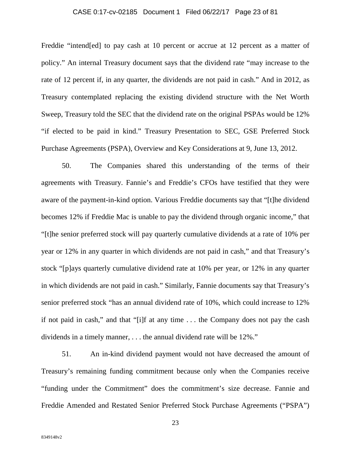## CASE 0:17-cv-02185 Document 1 Filed 06/22/17 Page 23 of 81

Freddie "intend[ed] to pay cash at 10 percent or accrue at 12 percent as a matter of policy." An internal Treasury document says that the dividend rate "may increase to the rate of 12 percent if, in any quarter, the dividends are not paid in cash." And in 2012, as Treasury contemplated replacing the existing dividend structure with the Net Worth Sweep, Treasury told the SEC that the dividend rate on the original PSPAs would be 12% "if elected to be paid in kind." Treasury Presentation to SEC, GSE Preferred Stock Purchase Agreements (PSPA), Overview and Key Considerations at 9, June 13, 2012.

50. The Companies shared this understanding of the terms of their agreements with Treasury. Fannie's and Freddie's CFOs have testified that they were aware of the payment-in-kind option. Various Freddie documents say that "[t]he dividend becomes 12% if Freddie Mac is unable to pay the dividend through organic income," that "[t]he senior preferred stock will pay quarterly cumulative dividends at a rate of 10% per year or 12% in any quarter in which dividends are not paid in cash," and that Treasury's stock "[p]ays quarterly cumulative dividend rate at 10% per year, or 12% in any quarter in which dividends are not paid in cash." Similarly, Fannie documents say that Treasury's senior preferred stock "has an annual dividend rate of 10%, which could increase to 12% if not paid in cash," and that "[i]f at any time . . . the Company does not pay the cash dividends in a timely manner, . . . the annual dividend rate will be 12%."

51. An in-kind dividend payment would not have decreased the amount of Treasury's remaining funding commitment because only when the Companies receive "funding under the Commitment" does the commitment's size decrease. Fannie and Freddie Amended and Restated Senior Preferred Stock Purchase Agreements ("PSPA")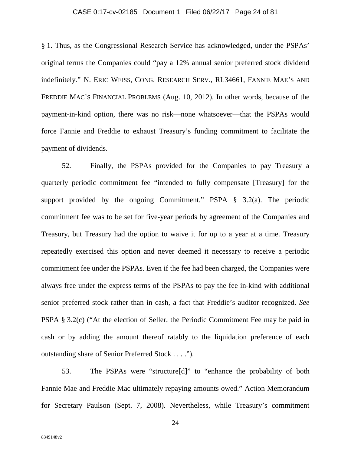## CASE 0:17-cv-02185 Document 1 Filed 06/22/17 Page 24 of 81

§ 1. Thus, as the Congressional Research Service has acknowledged, under the PSPAs' original terms the Companies could "pay a 12% annual senior preferred stock dividend indefinitely." N. ERIC WEISS, CONG. RESEARCH SERV., RL34661, FANNIE MAE'S AND FREDDIE MAC'S FINANCIAL PROBLEMS (Aug. 10, 2012). In other words, because of the payment-in-kind option, there was no risk—none whatsoever—that the PSPAs would force Fannie and Freddie to exhaust Treasury's funding commitment to facilitate the payment of dividends.

52. Finally, the PSPAs provided for the Companies to pay Treasury a quarterly periodic commitment fee "intended to fully compensate [Treasury] for the support provided by the ongoing Commitment." PSPA § 3.2(a). The periodic commitment fee was to be set for five-year periods by agreement of the Companies and Treasury, but Treasury had the option to waive it for up to a year at a time. Treasury repeatedly exercised this option and never deemed it necessary to receive a periodic commitment fee under the PSPAs. Even if the fee had been charged, the Companies were always free under the express terms of the PSPAs to pay the fee in-kind with additional senior preferred stock rather than in cash, a fact that Freddie's auditor recognized. *See*  PSPA § 3.2(c) ("At the election of Seller, the Periodic Commitment Fee may be paid in cash or by adding the amount thereof ratably to the liquidation preference of each outstanding share of Senior Preferred Stock . . . .").

53. The PSPAs were "structure[d]" to "enhance the probability of both Fannie Mae and Freddie Mac ultimately repaying amounts owed." Action Memorandum for Secretary Paulson (Sept. 7, 2008). Nevertheless, while Treasury's commitment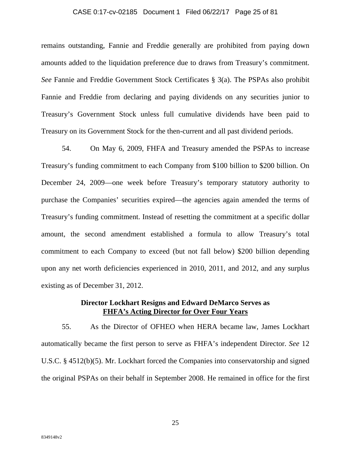#### CASE 0:17-cv-02185 Document 1 Filed 06/22/17 Page 25 of 81

remains outstanding, Fannie and Freddie generally are prohibited from paying down amounts added to the liquidation preference due to draws from Treasury's commitment. *See* Fannie and Freddie Government Stock Certificates § 3(a). The PSPAs also prohibit Fannie and Freddie from declaring and paying dividends on any securities junior to Treasury's Government Stock unless full cumulative dividends have been paid to Treasury on its Government Stock for the then-current and all past dividend periods.

54. On May 6, 2009, FHFA and Treasury amended the PSPAs to increase Treasury's funding commitment to each Company from \$100 billion to \$200 billion. On December 24, 2009—one week before Treasury's temporary statutory authority to purchase the Companies' securities expired—the agencies again amended the terms of Treasury's funding commitment. Instead of resetting the commitment at a specific dollar amount, the second amendment established a formula to allow Treasury's total commitment to each Company to exceed (but not fall below) \$200 billion depending upon any net worth deficiencies experienced in 2010, 2011, and 2012, and any surplus existing as of December 31, 2012.

## **Director Lockhart Resigns and Edward DeMarco Serves as FHFA's Acting Director for Over Four Years**

55. As the Director of OFHEO when HERA became law, James Lockhart automatically became the first person to serve as FHFA's independent Director. *See* 12 U.S.C. § 4512(b)(5). Mr. Lockhart forced the Companies into conservatorship and signed the original PSPAs on their behalf in September 2008. He remained in office for the first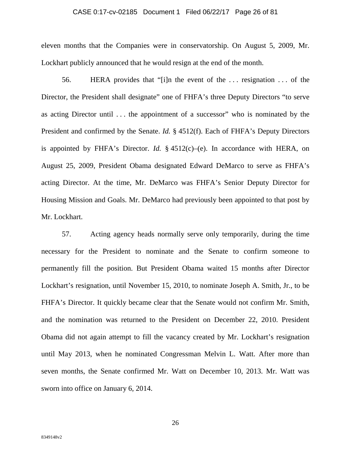#### CASE 0:17-cv-02185 Document 1 Filed 06/22/17 Page 26 of 81

eleven months that the Companies were in conservatorship. On August 5, 2009, Mr. Lockhart publicly announced that he would resign at the end of the month.

56. HERA provides that "[i]n the event of the . . . resignation . . . of the Director, the President shall designate" one of FHFA's three Deputy Directors "to serve as acting Director until . . . the appointment of a successor" who is nominated by the President and confirmed by the Senate. *Id.* § 4512(f). Each of FHFA's Deputy Directors is appointed by FHFA's Director. *Id.*  $\S$  4512(c)–(e). In accordance with HERA, on August 25, 2009, President Obama designated Edward DeMarco to serve as FHFA's acting Director. At the time, Mr. DeMarco was FHFA's Senior Deputy Director for Housing Mission and Goals. Mr. DeMarco had previously been appointed to that post by Mr. Lockhart.

57. Acting agency heads normally serve only temporarily, during the time necessary for the President to nominate and the Senate to confirm someone to permanently fill the position. But President Obama waited 15 months after Director Lockhart's resignation, until November 15, 2010, to nominate Joseph A. Smith, Jr., to be FHFA's Director. It quickly became clear that the Senate would not confirm Mr. Smith, and the nomination was returned to the President on December 22, 2010. President Obama did not again attempt to fill the vacancy created by Mr. Lockhart's resignation until May 2013, when he nominated Congressman Melvin L. Watt. After more than seven months, the Senate confirmed Mr. Watt on December 10, 2013. Mr. Watt was sworn into office on January 6, 2014.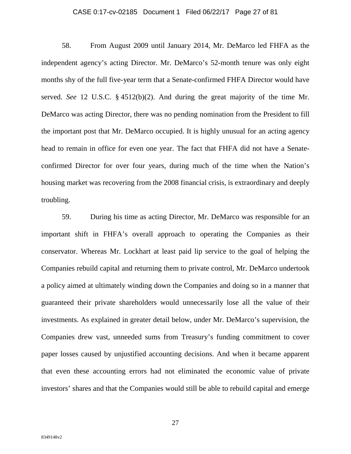#### CASE 0:17-cv-02185 Document 1 Filed 06/22/17 Page 27 of 81

58. From August 2009 until January 2014, Mr. DeMarco led FHFA as the independent agency's acting Director. Mr. DeMarco's 52-month tenure was only eight months shy of the full five-year term that a Senate-confirmed FHFA Director would have served. *See* 12 U.S.C. § 4512(b)(2). And during the great majority of the time Mr. DeMarco was acting Director, there was no pending nomination from the President to fill the important post that Mr. DeMarco occupied. It is highly unusual for an acting agency head to remain in office for even one year. The fact that FHFA did not have a Senateconfirmed Director for over four years, during much of the time when the Nation's housing market was recovering from the 2008 financial crisis, is extraordinary and deeply troubling.

59. During his time as acting Director, Mr. DeMarco was responsible for an important shift in FHFA's overall approach to operating the Companies as their conservator. Whereas Mr. Lockhart at least paid lip service to the goal of helping the Companies rebuild capital and returning them to private control, Mr. DeMarco undertook a policy aimed at ultimately winding down the Companies and doing so in a manner that guaranteed their private shareholders would unnecessarily lose all the value of their investments. As explained in greater detail below, under Mr. DeMarco's supervision, the Companies drew vast, unneeded sums from Treasury's funding commitment to cover paper losses caused by unjustified accounting decisions. And when it became apparent that even these accounting errors had not eliminated the economic value of private investors' shares and that the Companies would still be able to rebuild capital and emerge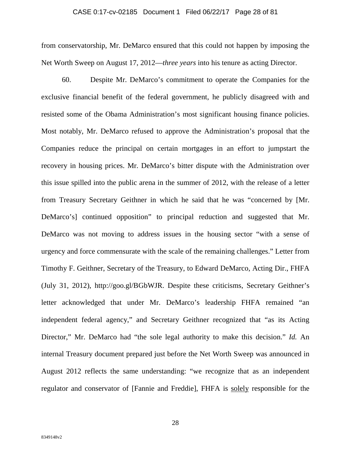### CASE 0:17-cv-02185 Document 1 Filed 06/22/17 Page 28 of 81

from conservatorship, Mr. DeMarco ensured that this could not happen by imposing the Net Worth Sweep on August 17, 2012—*three years* into his tenure as acting Director.

60. Despite Mr. DeMarco's commitment to operate the Companies for the exclusive financial benefit of the federal government, he publicly disagreed with and resisted some of the Obama Administration's most significant housing finance policies. Most notably, Mr. DeMarco refused to approve the Administration's proposal that the Companies reduce the principal on certain mortgages in an effort to jumpstart the recovery in housing prices. Mr. DeMarco's bitter dispute with the Administration over this issue spilled into the public arena in the summer of 2012, with the release of a letter from Treasury Secretary Geithner in which he said that he was "concerned by [Mr. DeMarco's] continued opposition" to principal reduction and suggested that Mr. DeMarco was not moving to address issues in the housing sector "with a sense of urgency and force commensurate with the scale of the remaining challenges." Letter from Timothy F. Geithner, Secretary of the Treasury, to Edward DeMarco, Acting Dir., FHFA (July 31, 2012), http://goo.gl/BGbWJR. Despite these criticisms, Secretary Geithner's letter acknowledged that under Mr. DeMarco's leadership FHFA remained "an independent federal agency," and Secretary Geithner recognized that "as its Acting Director," Mr. DeMarco had "the sole legal authority to make this decision." *Id.* An internal Treasury document prepared just before the Net Worth Sweep was announced in August 2012 reflects the same understanding: "we recognize that as an independent regulator and conservator of [Fannie and Freddie], FHFA is solely responsible for the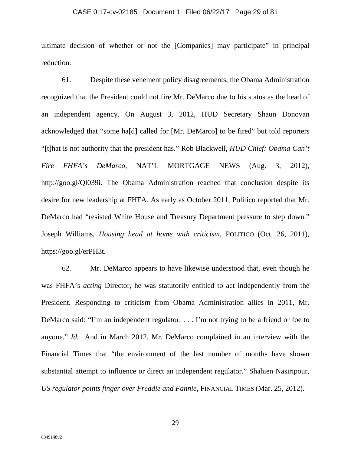#### CASE 0:17-cv-02185 Document 1 Filed 06/22/17 Page 29 of 81

ultimate decision of whether or not the [Companies] may participate" in principal reduction.

61. Despite these vehement policy disagreements, the Obama Administration recognized that the President could not fire Mr. DeMarco due to his status as the head of an independent agency. On August 3, 2012, HUD Secretary Shaun Donovan acknowledged that "some ha[d] called for [Mr. DeMarco] to be fired" but told reporters "[t]hat is not authority that the president has." Rob Blackwell, *HUD Chief: Obama Can't Fire FHFA's DeMarco*, NAT'L MORTGAGE NEWS (Aug. 3, 2012), http://goo.gl/Ql039i. The Obama Administration reached that conclusion despite its desire for new leadership at FHFA. As early as October 2011, Politico reported that Mr. DeMarco had "resisted White House and Treasury Department pressure to step down." Joseph Williams, *Housing head at home with criticism*, POLITICO (Oct. 26, 2011), https://goo.gl/erPH3t.

62. Mr. DeMarco appears to have likewise understood that, even though he was FHFA's *acting* Director, he was statutorily entitled to act independently from the President. Responding to criticism from Obama Administration allies in 2011, Mr. DeMarco said: "I'm an independent regulator. . . . I'm not trying to be a friend or foe to anyone." *Id.* And in March 2012, Mr. DeMarco complained in an interview with the Financial Times that "the environment of the last number of months have shown substantial attempt to influence or direct an independent regulator." Shahien Nasiripour, *US regulator points finger over Freddie and Fannie*, FINANCIAL TIMES (Mar. 25, 2012).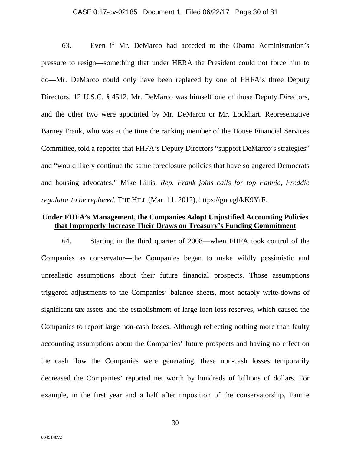#### CASE 0:17-cv-02185 Document 1 Filed 06/22/17 Page 30 of 81

63. Even if Mr. DeMarco had acceded to the Obama Administration's pressure to resign—something that under HERA the President could not force him to do—Mr. DeMarco could only have been replaced by one of FHFA's three Deputy Directors. 12 U.S.C. § 4512. Mr. DeMarco was himself one of those Deputy Directors, and the other two were appointed by Mr. DeMarco or Mr. Lockhart. Representative Barney Frank, who was at the time the ranking member of the House Financial Services Committee, told a reporter that FHFA's Deputy Directors "support DeMarco's strategies" and "would likely continue the same foreclosure policies that have so angered Democrats and housing advocates." Mike Lillis, *Rep. Frank joins calls for top Fannie, Freddie regulator to be replaced*, THE HILL (Mar. 11, 2012), https://goo.gl/kK9YrF.

## **Under FHFA's Management, the Companies Adopt Unjustified Accounting Policies that Improperly Increase Their Draws on Treasury's Funding Commitment**

64. Starting in the third quarter of 2008—when FHFA took control of the Companies as conservator—the Companies began to make wildly pessimistic and unrealistic assumptions about their future financial prospects. Those assumptions triggered adjustments to the Companies' balance sheets, most notably write-downs of significant tax assets and the establishment of large loan loss reserves, which caused the Companies to report large non-cash losses. Although reflecting nothing more than faulty accounting assumptions about the Companies' future prospects and having no effect on the cash flow the Companies were generating, these non-cash losses temporarily decreased the Companies' reported net worth by hundreds of billions of dollars. For example, in the first year and a half after imposition of the conservatorship, Fannie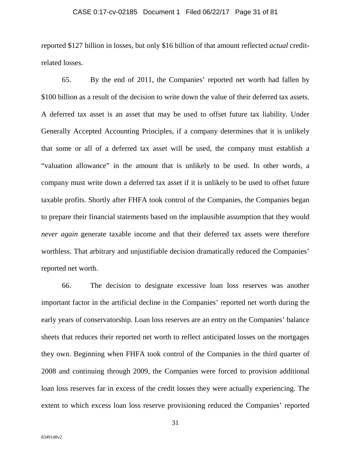## CASE 0:17-cv-02185 Document 1 Filed 06/22/17 Page 31 of 81

reported \$127 billion in losses, but only \$16 billion of that amount reflected *actual* creditrelated losses.

65. By the end of 2011, the Companies' reported net worth had fallen by \$100 billion as a result of the decision to write down the value of their deferred tax assets. A deferred tax asset is an asset that may be used to offset future tax liability. Under Generally Accepted Accounting Principles, if a company determines that it is unlikely that some or all of a deferred tax asset will be used, the company must establish a "valuation allowance" in the amount that is unlikely to be used. In other words, a company must write down a deferred tax asset if it is unlikely to be used to offset future taxable profits. Shortly after FHFA took control of the Companies, the Companies began to prepare their financial statements based on the implausible assumption that they would *never again* generate taxable income and that their deferred tax assets were therefore worthless. That arbitrary and unjustifiable decision dramatically reduced the Companies' reported net worth.

66. The decision to designate excessive loan loss reserves was another important factor in the artificial decline in the Companies' reported net worth during the early years of conservatorship. Loan loss reserves are an entry on the Companies' balance sheets that reduces their reported net worth to reflect anticipated losses on the mortgages they own. Beginning when FHFA took control of the Companies in the third quarter of 2008 and continuing through 2009, the Companies were forced to provision additional loan loss reserves far in excess of the credit losses they were actually experiencing. The extent to which excess loan loss reserve provisioning reduced the Companies' reported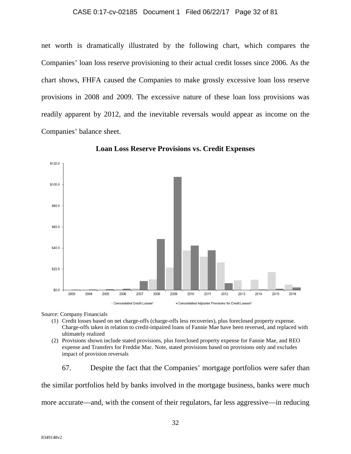#### CASE 0:17-cv-02185 Document 1 Filed 06/22/17 Page 32 of 81

net worth is dramatically illustrated by the following chart, which compares the Companies' loan loss reserve provisioning to their actual credit losses since 2006. As the chart shows, FHFA caused the Companies to make grossly excessive loan loss reserve provisions in 2008 and 2009. The excessive nature of these loan loss provisions was readily apparent by 2012, and the inevitable reversals would appear as income on the Companies' balance sheet.





Source: Company Financials

- (1) Credit losses based on net charge-offs (charge-offs less recoveries), plus foreclosed property expense. Charge-offs taken in relation to credit-impaired loans of Fannie Mae have been reversed, and replaced with ultimately realized
- (2) Provisions shown include stated provisions, plus foreclosed property expense for Fannie Mae, and REO expense and Transfers for Freddie Mac. Note, stated provisions based on provisions only and excludes impact of provision reversals

67. Despite the fact that the Companies' mortgage portfolios were safer than the similar portfolios held by banks involved in the mortgage business, banks were much more accurate—and, with the consent of their regulators, far less aggressive—in reducing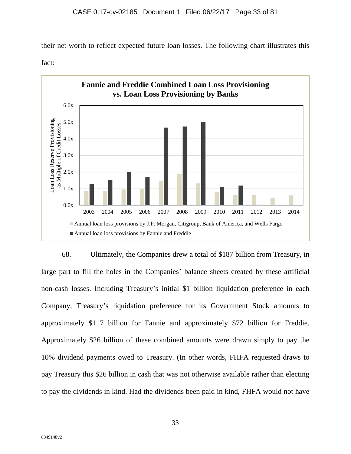their net worth to reflect expected future loan losses. The following chart illustrates this





68. Ultimately, the Companies drew a total of \$187 billion from Treasury, in large part to fill the holes in the Companies' balance sheets created by these artificial non-cash losses. Including Treasury's initial \$1 billion liquidation preference in each Company, Treasury's liquidation preference for its Government Stock amounts to approximately \$117 billion for Fannie and approximately \$72 billion for Freddie. Approximately \$26 billion of these combined amounts were drawn simply to pay the 10% dividend payments owed to Treasury. (In other words, FHFA requested draws to pay Treasury this \$26 billion in cash that was not otherwise available rather than electing to pay the dividends in kind. Had the dividends been paid in kind, FHFA would not have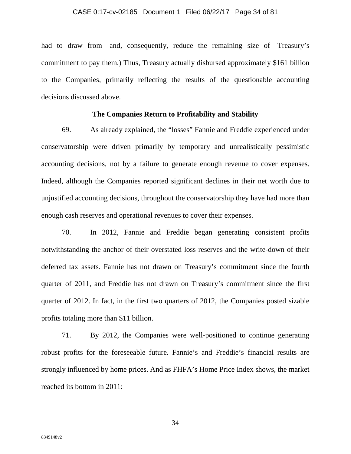#### CASE 0:17-cv-02185 Document 1 Filed 06/22/17 Page 34 of 81

had to draw from—and, consequently, reduce the remaining size of—Treasury's commitment to pay them.) Thus, Treasury actually disbursed approximately \$161 billion to the Companies, primarily reflecting the results of the questionable accounting decisions discussed above.

## **The Companies Return to Profitability and Stability**

69. As already explained, the "losses" Fannie and Freddie experienced under conservatorship were driven primarily by temporary and unrealistically pessimistic accounting decisions, not by a failure to generate enough revenue to cover expenses. Indeed, although the Companies reported significant declines in their net worth due to unjustified accounting decisions, throughout the conservatorship they have had more than enough cash reserves and operational revenues to cover their expenses.

70. In 2012, Fannie and Freddie began generating consistent profits notwithstanding the anchor of their overstated loss reserves and the write-down of their deferred tax assets. Fannie has not drawn on Treasury's commitment since the fourth quarter of 2011, and Freddie has not drawn on Treasury's commitment since the first quarter of 2012. In fact, in the first two quarters of 2012, the Companies posted sizable profits totaling more than \$11 billion.

71. By 2012, the Companies were well-positioned to continue generating robust profits for the foreseeable future. Fannie's and Freddie's financial results are strongly influenced by home prices. And as FHFA's Home Price Index shows, the market reached its bottom in 2011: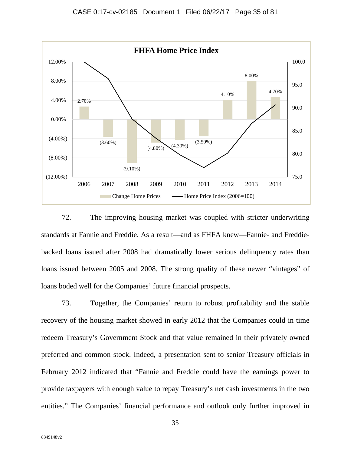

72. The improving housing market was coupled with stricter underwriting standards at Fannie and Freddie. As a result—and as FHFA knew—Fannie- and Freddiebacked loans issued after 2008 had dramatically lower serious delinquency rates than loans issued between 2005 and 2008. The strong quality of these newer "vintages" of loans boded well for the Companies' future financial prospects.

73. Together, the Companies' return to robust profitability and the stable recovery of the housing market showed in early 2012 that the Companies could in time redeem Treasury's Government Stock and that value remained in their privately owned preferred and common stock. Indeed, a presentation sent to senior Treasury officials in February 2012 indicated that "Fannie and Freddie could have the earnings power to provide taxpayers with enough value to repay Treasury's net cash investments in the two entities." The Companies' financial performance and outlook only further improved in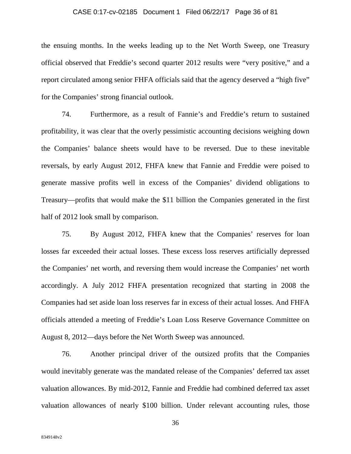## CASE 0:17-cv-02185 Document 1 Filed 06/22/17 Page 36 of 81

the ensuing months. In the weeks leading up to the Net Worth Sweep, one Treasury official observed that Freddie's second quarter 2012 results were "very positive," and a report circulated among senior FHFA officials said that the agency deserved a "high five" for the Companies' strong financial outlook.

74. Furthermore, as a result of Fannie's and Freddie's return to sustained profitability, it was clear that the overly pessimistic accounting decisions weighing down the Companies' balance sheets would have to be reversed. Due to these inevitable reversals, by early August 2012, FHFA knew that Fannie and Freddie were poised to generate massive profits well in excess of the Companies' dividend obligations to Treasury—profits that would make the \$11 billion the Companies generated in the first half of 2012 look small by comparison.

75. By August 2012, FHFA knew that the Companies' reserves for loan losses far exceeded their actual losses. These excess loss reserves artificially depressed the Companies' net worth, and reversing them would increase the Companies' net worth accordingly. A July 2012 FHFA presentation recognized that starting in 2008 the Companies had set aside loan loss reserves far in excess of their actual losses. And FHFA officials attended a meeting of Freddie's Loan Loss Reserve Governance Committee on August 8, 2012—days before the Net Worth Sweep was announced.

76. Another principal driver of the outsized profits that the Companies would inevitably generate was the mandated release of the Companies' deferred tax asset valuation allowances. By mid-2012, Fannie and Freddie had combined deferred tax asset valuation allowances of nearly \$100 billion. Under relevant accounting rules, those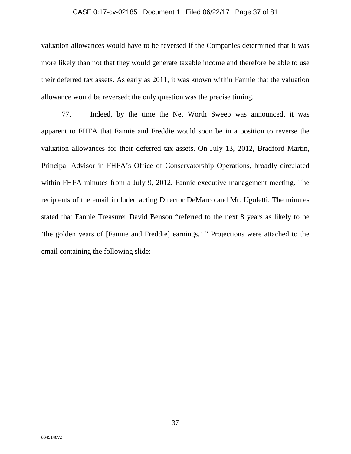# CASE 0:17-cv-02185 Document 1 Filed 06/22/17 Page 37 of 81

valuation allowances would have to be reversed if the Companies determined that it was more likely than not that they would generate taxable income and therefore be able to use their deferred tax assets. As early as 2011, it was known within Fannie that the valuation allowance would be reversed; the only question was the precise timing.

77. Indeed, by the time the Net Worth Sweep was announced, it was apparent to FHFA that Fannie and Freddie would soon be in a position to reverse the valuation allowances for their deferred tax assets. On July 13, 2012, Bradford Martin, Principal Advisor in FHFA's Office of Conservatorship Operations, broadly circulated within FHFA minutes from a July 9, 2012, Fannie executive management meeting. The recipients of the email included acting Director DeMarco and Mr. Ugoletti. The minutes stated that Fannie Treasurer David Benson "referred to the next 8 years as likely to be 'the golden years of [Fannie and Freddie] earnings.' " Projections were attached to the email containing the following slide: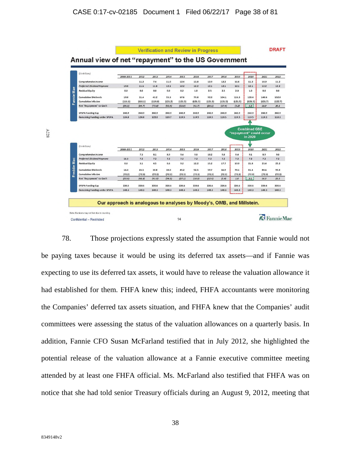

78. Those projections expressly stated the assumption that Fannie would not be paying taxes because it would be using its deferred tax assets—and if Fannie was expecting to use its deferred tax assets, it would have to release the valuation allowance it had established for them. FHFA knew this; indeed, FHFA accountants were monitoring the Companies' deferred tax assets situation, and FHFA knew that the Companies' audit committees were assessing the status of the valuation allowances on a quarterly basis. In addition, Fannie CFO Susan McFarland testified that in July 2012, she highlighted the potential release of the valuation allowance at a Fannie executive committee meeting attended by at least one FHFA official. Ms. McFarland also testified that FHFA was on notice that she had told senior Treasury officials during an August 9, 2012, meeting that

A228

8349148v2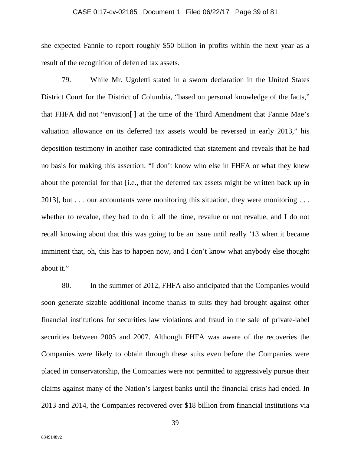#### CASE 0:17-cv-02185 Document 1 Filed 06/22/17 Page 39 of 81

she expected Fannie to report roughly \$50 billion in profits within the next year as a result of the recognition of deferred tax assets.

79. While Mr. Ugoletti stated in a sworn declaration in the United States District Court for the District of Columbia, "based on personal knowledge of the facts," that FHFA did not "envision[ ] at the time of the Third Amendment that Fannie Mae's valuation allowance on its deferred tax assets would be reversed in early 2013," his deposition testimony in another case contradicted that statement and reveals that he had no basis for making this assertion: "I don't know who else in FHFA or what they knew about the potential for that [i.e., that the deferred tax assets might be written back up in 2013], but  $\ldots$  our accountants were monitoring this situation, they were monitoring  $\ldots$ whether to revalue, they had to do it all the time, revalue or not revalue, and I do not recall knowing about that this was going to be an issue until really '13 when it became imminent that, oh, this has to happen now, and I don't know what anybody else thought about it."

80. In the summer of 2012, FHFA also anticipated that the Companies would soon generate sizable additional income thanks to suits they had brought against other financial institutions for securities law violations and fraud in the sale of private-label securities between 2005 and 2007. Although FHFA was aware of the recoveries the Companies were likely to obtain through these suits even before the Companies were placed in conservatorship, the Companies were not permitted to aggressively pursue their claims against many of the Nation's largest banks until the financial crisis had ended. In 2013 and 2014, the Companies recovered over \$18 billion from financial institutions via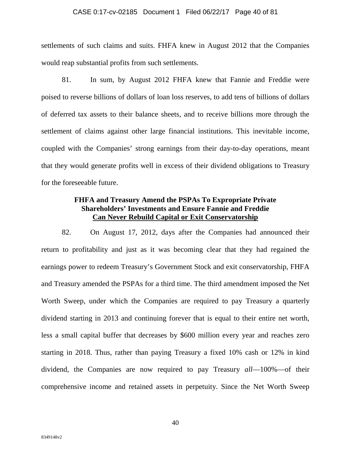#### CASE 0:17-cv-02185 Document 1 Filed 06/22/17 Page 40 of 81

settlements of such claims and suits. FHFA knew in August 2012 that the Companies would reap substantial profits from such settlements.

81. In sum, by August 2012 FHFA knew that Fannie and Freddie were poised to reverse billions of dollars of loan loss reserves, to add tens of billions of dollars of deferred tax assets to their balance sheets, and to receive billions more through the settlement of claims against other large financial institutions. This inevitable income, coupled with the Companies' strong earnings from their day-to-day operations, meant that they would generate profits well in excess of their dividend obligations to Treasury for the foreseeable future.

# **FHFA and Treasury Amend the PSPAs To Expropriate Private Shareholders' Investments and Ensure Fannie and Freddie Can Never Rebuild Capital or Exit Conservatorship**

82. On August 17, 2012, days after the Companies had announced their return to profitability and just as it was becoming clear that they had regained the earnings power to redeem Treasury's Government Stock and exit conservatorship, FHFA and Treasury amended the PSPAs for a third time. The third amendment imposed the Net Worth Sweep, under which the Companies are required to pay Treasury a quarterly dividend starting in 2013 and continuing forever that is equal to their entire net worth, less a small capital buffer that decreases by \$600 million every year and reaches zero starting in 2018. Thus, rather than paying Treasury a fixed 10% cash or 12% in kind dividend, the Companies are now required to pay Treasury *all*—100%—of their comprehensive income and retained assets in perpetuity. Since the Net Worth Sweep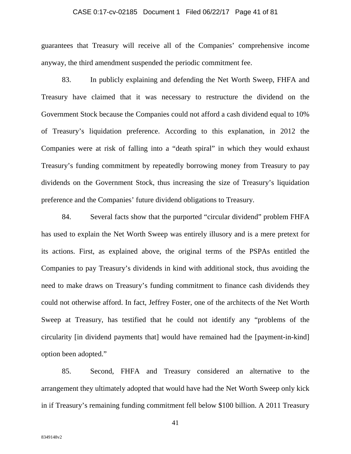### CASE 0:17-cv-02185 Document 1 Filed 06/22/17 Page 41 of 81

guarantees that Treasury will receive all of the Companies' comprehensive income anyway, the third amendment suspended the periodic commitment fee.

83. In publicly explaining and defending the Net Worth Sweep, FHFA and Treasury have claimed that it was necessary to restructure the dividend on the Government Stock because the Companies could not afford a cash dividend equal to 10% of Treasury's liquidation preference. According to this explanation, in 2012 the Companies were at risk of falling into a "death spiral" in which they would exhaust Treasury's funding commitment by repeatedly borrowing money from Treasury to pay dividends on the Government Stock, thus increasing the size of Treasury's liquidation preference and the Companies' future dividend obligations to Treasury.

84. Several facts show that the purported "circular dividend" problem FHFA has used to explain the Net Worth Sweep was entirely illusory and is a mere pretext for its actions. First, as explained above, the original terms of the PSPAs entitled the Companies to pay Treasury's dividends in kind with additional stock, thus avoiding the need to make draws on Treasury's funding commitment to finance cash dividends they could not otherwise afford. In fact, Jeffrey Foster, one of the architects of the Net Worth Sweep at Treasury, has testified that he could not identify any "problems of the circularity [in dividend payments that] would have remained had the [payment-in-kind] option been adopted."

85. Second, FHFA and Treasury considered an alternative to the arrangement they ultimately adopted that would have had the Net Worth Sweep only kick in if Treasury's remaining funding commitment fell below \$100 billion. A 2011 Treasury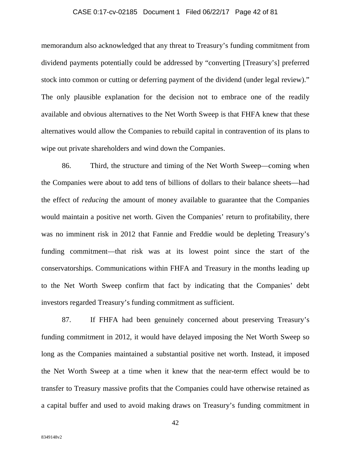# CASE 0:17-cv-02185 Document 1 Filed 06/22/17 Page 42 of 81

memorandum also acknowledged that any threat to Treasury's funding commitment from dividend payments potentially could be addressed by "converting [Treasury's] preferred stock into common or cutting or deferring payment of the dividend (under legal review)." The only plausible explanation for the decision not to embrace one of the readily available and obvious alternatives to the Net Worth Sweep is that FHFA knew that these alternatives would allow the Companies to rebuild capital in contravention of its plans to wipe out private shareholders and wind down the Companies.

86. Third, the structure and timing of the Net Worth Sweep—coming when the Companies were about to add tens of billions of dollars to their balance sheets—had the effect of *reducing* the amount of money available to guarantee that the Companies would maintain a positive net worth. Given the Companies' return to profitability, there was no imminent risk in 2012 that Fannie and Freddie would be depleting Treasury's funding commitment—that risk was at its lowest point since the start of the conservatorships. Communications within FHFA and Treasury in the months leading up to the Net Worth Sweep confirm that fact by indicating that the Companies' debt investors regarded Treasury's funding commitment as sufficient.

87. If FHFA had been genuinely concerned about preserving Treasury's funding commitment in 2012, it would have delayed imposing the Net Worth Sweep so long as the Companies maintained a substantial positive net worth. Instead, it imposed the Net Worth Sweep at a time when it knew that the near-term effect would be to transfer to Treasury massive profits that the Companies could have otherwise retained as a capital buffer and used to avoid making draws on Treasury's funding commitment in

8349148v2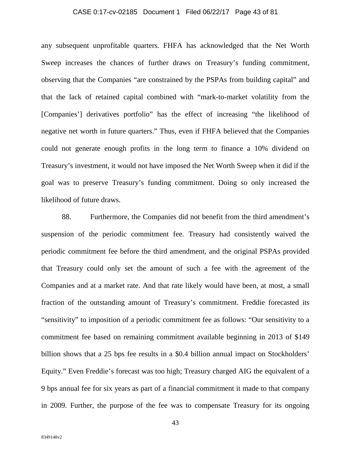### CASE 0:17-cv-02185 Document 1 Filed 06/22/17 Page 43 of 81

any subsequent unprofitable quarters. FHFA has acknowledged that the Net Worth Sweep increases the chances of further draws on Treasury's funding commitment, observing that the Companies "are constrained by the PSPAs from building capital" and that the lack of retained capital combined with "mark-to-market volatility from the [Companies'] derivatives portfolio" has the effect of increasing "the likelihood of negative net worth in future quarters." Thus, even if FHFA believed that the Companies could not generate enough profits in the long term to finance a 10% dividend on Treasury's investment, it would not have imposed the Net Worth Sweep when it did if the goal was to preserve Treasury's funding commitment. Doing so only increased the likelihood of future draws.

88. Furthermore, the Companies did not benefit from the third amendment's suspension of the periodic commitment fee. Treasury had consistently waived the periodic commitment fee before the third amendment, and the original PSPAs provided that Treasury could only set the amount of such a fee with the agreement of the Companies and at a market rate. And that rate likely would have been, at most, a small fraction of the outstanding amount of Treasury's commitment. Freddie forecasted its "sensitivity" to imposition of a periodic commitment fee as follows: "Our sensitivity to a commitment fee based on remaining commitment available beginning in 2013 of \$149 billion shows that a 25 bps fee results in a \$0.4 billion annual impact on Stockholders' Equity." Even Freddie's forecast was too high; Treasury charged AIG the equivalent of a 9 bps annual fee for six years as part of a financial commitment it made to that company in 2009. Further, the purpose of the fee was to compensate Treasury for its ongoing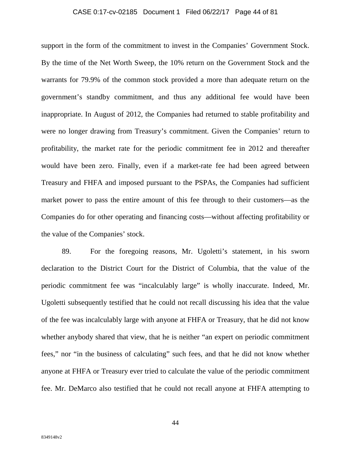### CASE 0:17-cv-02185 Document 1 Filed 06/22/17 Page 44 of 81

support in the form of the commitment to invest in the Companies' Government Stock. By the time of the Net Worth Sweep, the 10% return on the Government Stock and the warrants for 79.9% of the common stock provided a more than adequate return on the government's standby commitment, and thus any additional fee would have been inappropriate. In August of 2012, the Companies had returned to stable profitability and were no longer drawing from Treasury's commitment. Given the Companies' return to profitability, the market rate for the periodic commitment fee in 2012 and thereafter would have been zero. Finally, even if a market-rate fee had been agreed between Treasury and FHFA and imposed pursuant to the PSPAs, the Companies had sufficient market power to pass the entire amount of this fee through to their customers—as the Companies do for other operating and financing costs—without affecting profitability or the value of the Companies' stock.

89. For the foregoing reasons, Mr. Ugoletti's statement, in his sworn declaration to the District Court for the District of Columbia, that the value of the periodic commitment fee was "incalculably large" is wholly inaccurate. Indeed, Mr. Ugoletti subsequently testified that he could not recall discussing his idea that the value of the fee was incalculably large with anyone at FHFA or Treasury, that he did not know whether anybody shared that view, that he is neither "an expert on periodic commitment fees," nor "in the business of calculating" such fees, and that he did not know whether anyone at FHFA or Treasury ever tried to calculate the value of the periodic commitment fee. Mr. DeMarco also testified that he could not recall anyone at FHFA attempting to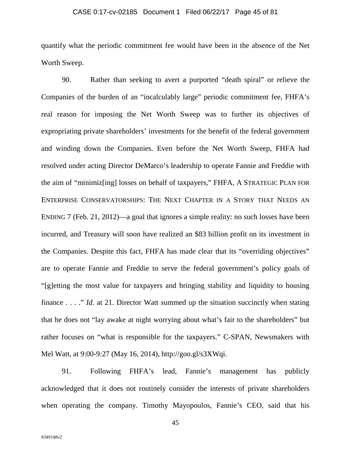### CASE 0:17-cv-02185 Document 1 Filed 06/22/17 Page 45 of 81

quantify what the periodic commitment fee would have been in the absence of the Net Worth Sweep.

90. Rather than seeking to avert a purported "death spiral" or relieve the Companies of the burden of an "incalculably large" periodic commitment fee, FHFA's real reason for imposing the Net Worth Sweep was to further its objectives of expropriating private shareholders' investments for the benefit of the federal government and winding down the Companies. Even before the Net Worth Sweep, FHFA had resolved under acting Director DeMarco's leadership to operate Fannie and Freddie with the aim of "minimiz[ing] losses on behalf of taxpayers," FHFA, A STRATEGIC PLAN FOR ENTERPRISE CONSERVATORSHIPS: THE NEXT CHAPTER IN A STORY THAT NEEDS AN ENDING 7 (Feb. 21, 2012)—a goal that ignores a simple reality: no such losses have been incurred, and Treasury will soon have realized an \$83 billion profit on its investment in the Companies. Despite this fact, FHFA has made clear that its "overriding objectives" are to operate Fannie and Freddie to serve the federal government's policy goals of "[g]etting the most value for taxpayers and bringing stability and liquidity to housing finance . . . ." *Id.* at 21. Director Watt summed up the situation succinctly when stating that he does not "lay awake at night worrying about what's fair to the shareholders" but rather focuses on "what is responsible for the taxpayers." C-SPAN, Newsmakers with Mel Watt, at 9:00-9:27 (May 16, 2014), http://goo.gl/s3XWqi.

91. Following FHFA's lead, Fannie's management has publicly acknowledged that it does not routinely consider the interests of private shareholders when operating the company. Timothy Mayopoulos, Fannie's CEO, said that his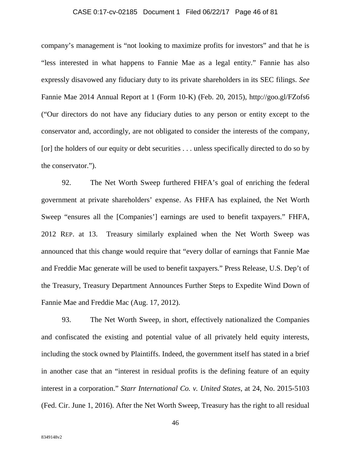# CASE 0:17-cv-02185 Document 1 Filed 06/22/17 Page 46 of 81

company's management is "not looking to maximize profits for investors" and that he is "less interested in what happens to Fannie Mae as a legal entity." Fannie has also expressly disavowed any fiduciary duty to its private shareholders in its SEC filings. *See*  Fannie Mae 2014 Annual Report at 1 (Form 10-K) (Feb. 20, 2015), http://goo.gl/FZofs6 ("Our directors do not have any fiduciary duties to any person or entity except to the conservator and, accordingly, are not obligated to consider the interests of the company, [or] the holders of our equity or debt securities ... unless specifically directed to do so by the conservator.").

92. The Net Worth Sweep furthered FHFA's goal of enriching the federal government at private shareholders' expense. As FHFA has explained, the Net Worth Sweep "ensures all the [Companies'] earnings are used to benefit taxpayers." FHFA, 2012 REP. at 13. Treasury similarly explained when the Net Worth Sweep was announced that this change would require that "every dollar of earnings that Fannie Mae and Freddie Mac generate will be used to benefit taxpayers." Press Release, U.S. Dep't of the Treasury, Treasury Department Announces Further Steps to Expedite Wind Down of Fannie Mae and Freddie Mac (Aug. 17, 2012).

93. The Net Worth Sweep, in short, effectively nationalized the Companies and confiscated the existing and potential value of all privately held equity interests, including the stock owned by Plaintiffs. Indeed, the government itself has stated in a brief in another case that an "interest in residual profits is the defining feature of an equity interest in a corporation." *Starr International Co. v. United States*, at 24, No. 2015-5103 (Fed. Cir. June 1, 2016). After the Net Worth Sweep, Treasury has the right to all residual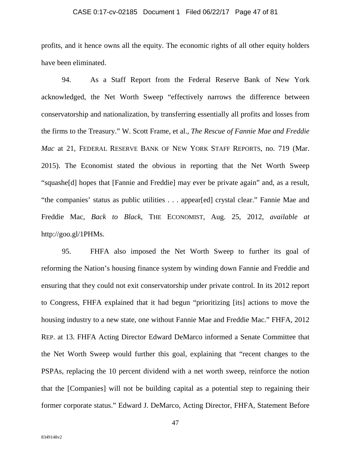# CASE 0:17-cv-02185 Document 1 Filed 06/22/17 Page 47 of 81

profits, and it hence owns all the equity. The economic rights of all other equity holders have been eliminated.

94. As a Staff Report from the Federal Reserve Bank of New York acknowledged, the Net Worth Sweep "effectively narrows the difference between conservatorship and nationalization, by transferring essentially all profits and losses from the firms to the Treasury." W. Scott Frame, et al., *The Rescue of Fannie Mae and Freddie Mac* at 21, FEDERAL RESERVE BANK OF NEW YORK STAFF REPORTS, no. 719 (Mar. 2015). The Economist stated the obvious in reporting that the Net Worth Sweep "squashe[d] hopes that [Fannie and Freddie] may ever be private again" and, as a result, "the companies' status as public utilities . . . appear[ed] crystal clear." Fannie Mae and Freddie Mac, *Back to Black*, THE ECONOMIST, Aug. 25, 2012, *available at* http://goo.gl/1PHMs.

95. FHFA also imposed the Net Worth Sweep to further its goal of reforming the Nation's housing finance system by winding down Fannie and Freddie and ensuring that they could not exit conservatorship under private control. In its 2012 report to Congress, FHFA explained that it had begun "prioritizing [its] actions to move the housing industry to a new state, one without Fannie Mae and Freddie Mac." FHFA, 2012 REP. at 13. FHFA Acting Director Edward DeMarco informed a Senate Committee that the Net Worth Sweep would further this goal, explaining that "recent changes to the PSPAs, replacing the 10 percent dividend with a net worth sweep, reinforce the notion that the [Companies] will not be building capital as a potential step to regaining their former corporate status." Edward J. DeMarco, Acting Director, FHFA, Statement Before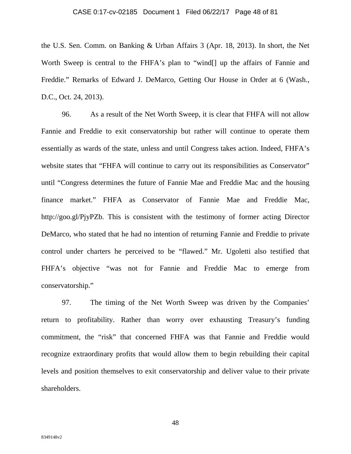### CASE 0:17-cv-02185 Document 1 Filed 06/22/17 Page 48 of 81

the U.S. Sen. Comm. on Banking & Urban Affairs 3 (Apr. 18, 2013). In short, the Net Worth Sweep is central to the FHFA's plan to "wind[] up the affairs of Fannie and Freddie." Remarks of Edward J. DeMarco, Getting Our House in Order at 6 (Wash., D.C., Oct. 24, 2013).

96. As a result of the Net Worth Sweep, it is clear that FHFA will not allow Fannie and Freddie to exit conservatorship but rather will continue to operate them essentially as wards of the state, unless and until Congress takes action. Indeed, FHFA's website states that "FHFA will continue to carry out its responsibilities as Conservator" until "Congress determines the future of Fannie Mae and Freddie Mac and the housing finance market." FHFA as Conservator of Fannie Mae and Freddie Mac, http://goo.gl/PjyPZb. This is consistent with the testimony of former acting Director DeMarco, who stated that he had no intention of returning Fannie and Freddie to private control under charters he perceived to be "flawed." Mr. Ugoletti also testified that FHFA's objective "was not for Fannie and Freddie Mac to emerge from conservatorship."

97. The timing of the Net Worth Sweep was driven by the Companies' return to profitability. Rather than worry over exhausting Treasury's funding commitment, the "risk" that concerned FHFA was that Fannie and Freddie would recognize extraordinary profits that would allow them to begin rebuilding their capital levels and position themselves to exit conservatorship and deliver value to their private shareholders.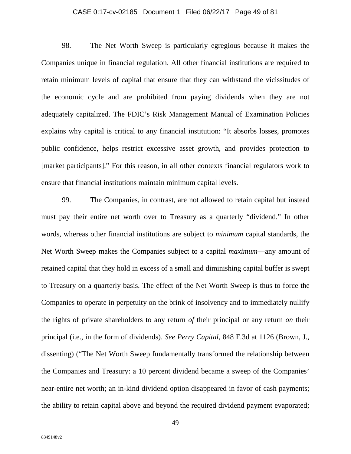# CASE 0:17-cv-02185 Document 1 Filed 06/22/17 Page 49 of 81

98. The Net Worth Sweep is particularly egregious because it makes the Companies unique in financial regulation. All other financial institutions are required to retain minimum levels of capital that ensure that they can withstand the vicissitudes of the economic cycle and are prohibited from paying dividends when they are not adequately capitalized. The FDIC's Risk Management Manual of Examination Policies explains why capital is critical to any financial institution: "It absorbs losses, promotes public confidence, helps restrict excessive asset growth, and provides protection to [market participants]." For this reason, in all other contexts financial regulators work to ensure that financial institutions maintain minimum capital levels.

99. The Companies, in contrast, are not allowed to retain capital but instead must pay their entire net worth over to Treasury as a quarterly "dividend." In other words, whereas other financial institutions are subject to *minimum* capital standards, the Net Worth Sweep makes the Companies subject to a capital *maximum*—any amount of retained capital that they hold in excess of a small and diminishing capital buffer is swept to Treasury on a quarterly basis. The effect of the Net Worth Sweep is thus to force the Companies to operate in perpetuity on the brink of insolvency and to immediately nullify the rights of private shareholders to any return *of* their principal or any return *on* their principal (i.e., in the form of dividends). *See Perry Capital*, 848 F.3d at 1126 (Brown, J., dissenting) ("The Net Worth Sweep fundamentally transformed the relationship between the Companies and Treasury: a 10 percent dividend became a sweep of the Companies' near-entire net worth; an in-kind dividend option disappeared in favor of cash payments; the ability to retain capital above and beyond the required dividend payment evaporated;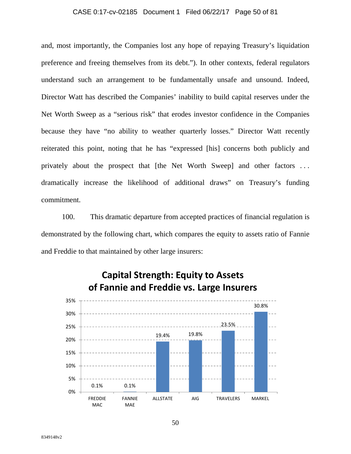### CASE 0:17-cv-02185 Document 1 Filed 06/22/17 Page 50 of 81

and, most importantly, the Companies lost any hope of repaying Treasury's liquidation preference and freeing themselves from its debt."). In other contexts, federal regulators understand such an arrangement to be fundamentally unsafe and unsound. Indeed, Director Watt has described the Companies' inability to build capital reserves under the Net Worth Sweep as a "serious risk" that erodes investor confidence in the Companies because they have "no ability to weather quarterly losses." Director Watt recently reiterated this point, noting that he has "expressed [his] concerns both publicly and privately about the prospect that [the Net Worth Sweep] and other factors . . . dramatically increase the likelihood of additional draws" on Treasury's funding commitment.

100. This dramatic departure from accepted practices of financial regulation is demonstrated by the following chart, which compares the equity to assets ratio of Fannie and Freddie to that maintained by other large insurers:



# **Capital Strength: Equity to Assets of Fannie and Freddie vs. Large Insurers**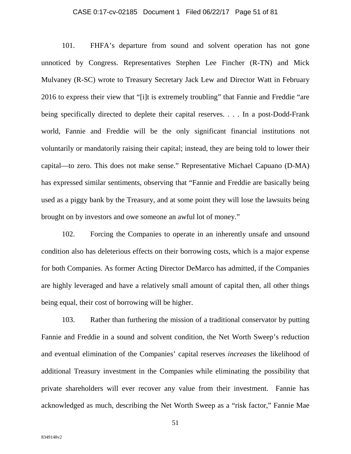### CASE 0:17-cv-02185 Document 1 Filed 06/22/17 Page 51 of 81

101. FHFA's departure from sound and solvent operation has not gone unnoticed by Congress. Representatives Stephen Lee Fincher (R-TN) and Mick Mulvaney (R-SC) wrote to Treasury Secretary Jack Lew and Director Watt in February 2016 to express their view that "[i]t is extremely troubling" that Fannie and Freddie "are being specifically directed to deplete their capital reserves. . . . In a post-Dodd-Frank world, Fannie and Freddie will be the only significant financial institutions not voluntarily or mandatorily raising their capital; instead, they are being told to lower their capital—to zero. This does not make sense." Representative Michael Capuano (D-MA) has expressed similar sentiments, observing that "Fannie and Freddie are basically being used as a piggy bank by the Treasury, and at some point they will lose the lawsuits being brought on by investors and owe someone an awful lot of money."

102. Forcing the Companies to operate in an inherently unsafe and unsound condition also has deleterious effects on their borrowing costs, which is a major expense for both Companies. As former Acting Director DeMarco has admitted, if the Companies are highly leveraged and have a relatively small amount of capital then, all other things being equal, their cost of borrowing will be higher.

103. Rather than furthering the mission of a traditional conservator by putting Fannie and Freddie in a sound and solvent condition, the Net Worth Sweep's reduction and eventual elimination of the Companies' capital reserves *increases* the likelihood of additional Treasury investment in the Companies while eliminating the possibility that private shareholders will ever recover any value from their investment. Fannie has acknowledged as much, describing the Net Worth Sweep as a "risk factor," Fannie Mae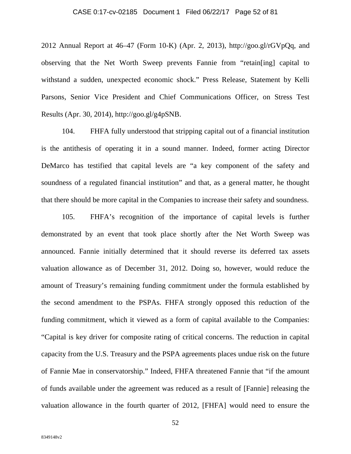### CASE 0:17-cv-02185 Document 1 Filed 06/22/17 Page 52 of 81

2012 Annual Report at  $46-47$  (Form 10-K) (Apr. 2, 2013), http://goo.gl/rGVpQq, and observing that the Net Worth Sweep prevents Fannie from "retain[ing] capital to withstand a sudden, unexpected economic shock." Press Release, Statement by Kelli Parsons, Senior Vice President and Chief Communications Officer, on Stress Test Results (Apr. 30, 2014), http://goo.gl/g4pSNB.

104. FHFA fully understood that stripping capital out of a financial institution is the antithesis of operating it in a sound manner. Indeed, former acting Director DeMarco has testified that capital levels are "a key component of the safety and soundness of a regulated financial institution" and that, as a general matter, he thought that there should be more capital in the Companies to increase their safety and soundness.

105. FHFA's recognition of the importance of capital levels is further demonstrated by an event that took place shortly after the Net Worth Sweep was announced. Fannie initially determined that it should reverse its deferred tax assets valuation allowance as of December 31, 2012. Doing so, however, would reduce the amount of Treasury's remaining funding commitment under the formula established by the second amendment to the PSPAs. FHFA strongly opposed this reduction of the funding commitment, which it viewed as a form of capital available to the Companies: "Capital is key driver for composite rating of critical concerns. The reduction in capital capacity from the U.S. Treasury and the PSPA agreements places undue risk on the future of Fannie Mae in conservatorship." Indeed, FHFA threatened Fannie that "if the amount of funds available under the agreement was reduced as a result of [Fannie] releasing the valuation allowance in the fourth quarter of 2012, [FHFA] would need to ensure the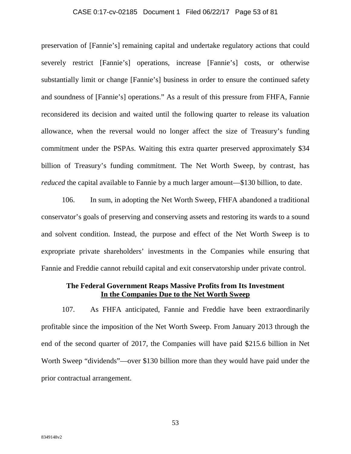# CASE 0:17-cv-02185 Document 1 Filed 06/22/17 Page 53 of 81

preservation of [Fannie's] remaining capital and undertake regulatory actions that could severely restrict [Fannie's] operations, increase [Fannie's] costs, or otherwise substantially limit or change [Fannie's] business in order to ensure the continued safety and soundness of [Fannie's] operations." As a result of this pressure from FHFA, Fannie reconsidered its decision and waited until the following quarter to release its valuation allowance, when the reversal would no longer affect the size of Treasury's funding commitment under the PSPAs. Waiting this extra quarter preserved approximately \$34 billion of Treasury's funding commitment. The Net Worth Sweep, by contrast, has *reduced* the capital available to Fannie by a much larger amount—\$130 billion, to date.

106. In sum, in adopting the Net Worth Sweep, FHFA abandoned a traditional conservator's goals of preserving and conserving assets and restoring its wards to a sound and solvent condition. Instead, the purpose and effect of the Net Worth Sweep is to expropriate private shareholders' investments in the Companies while ensuring that Fannie and Freddie cannot rebuild capital and exit conservatorship under private control.

# **The Federal Government Reaps Massive Profits from Its Investment In the Companies Due to the Net Worth Sweep**

107. As FHFA anticipated, Fannie and Freddie have been extraordinarily profitable since the imposition of the Net Worth Sweep. From January 2013 through the end of the second quarter of 2017, the Companies will have paid \$215.6 billion in Net Worth Sweep "dividends"—over \$130 billion more than they would have paid under the prior contractual arrangement.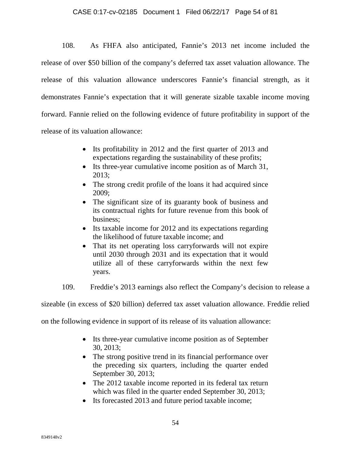# CASE 0:17-cv-02185 Document 1 Filed 06/22/17 Page 54 of 81

108. As FHFA also anticipated, Fannie's 2013 net income included the release of over \$50 billion of the company's deferred tax asset valuation allowance. The release of this valuation allowance underscores Fannie's financial strength, as it demonstrates Fannie's expectation that it will generate sizable taxable income moving forward. Fannie relied on the following evidence of future profitability in support of the release of its valuation allowance:

- Its profitability in 2012 and the first quarter of 2013 and expectations regarding the sustainability of these profits;
- Its three-year cumulative income position as of March 31, 2013;
- The strong credit profile of the loans it had acquired since 2009;
- The significant size of its guaranty book of business and its contractual rights for future revenue from this book of business;
- Its taxable income for 2012 and its expectations regarding the likelihood of future taxable income; and
- That its net operating loss carryforwards will not expire until 2030 through 2031 and its expectation that it would utilize all of these carryforwards within the next few years.
- 109. Freddie's 2013 earnings also reflect the Company's decision to release a

sizeable (in excess of \$20 billion) deferred tax asset valuation allowance. Freddie relied

on the following evidence in support of its release of its valuation allowance:

- Its three-year cumulative income position as of September 30, 2013;
- The strong positive trend in its financial performance over the preceding six quarters, including the quarter ended September 30, 2013;
- The 2012 taxable income reported in its federal tax return which was filed in the quarter ended September 30, 2013;
- Its forecasted 2013 and future period taxable income;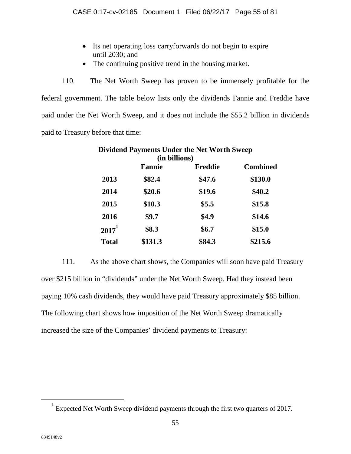- Its net operating loss carryforwards do not begin to expire until 2030; and
- The continuing positive trend in the housing market.

110. The Net Worth Sweep has proven to be immensely profitable for the federal government. The table below lists only the dividends Fannie and Freddie have paid under the Net Worth Sweep, and it does not include the \$55.2 billion in dividends paid to Treasury before that time:

| <b>Dividend Payments Under the Net Worth Sweep</b><br>(in billions) |         |        |         |
|---------------------------------------------------------------------|---------|--------|---------|
|                                                                     |         |        |         |
| 2013                                                                | \$82.4  | \$47.6 | \$130.0 |
| 2014                                                                | \$20.6  | \$19.6 | \$40.2  |
| 2015                                                                | \$10.3  | \$5.5  | \$15.8  |
| 2016                                                                | \$9.7   | \$4.9  | \$14.6  |
| $2017^1$                                                            | \$8.3   | \$6.7  | \$15.0  |
| <b>Total</b>                                                        | \$131.3 | \$84.3 | \$215.6 |

111. As the above chart shows, the Companies will soon have paid Treasury over \$215 billion in "dividends" under the Net Worth Sweep. Had they instead been paying 10% cash dividends, they would have paid Treasury approximately \$85 billion. The following chart shows how imposition of the Net Worth Sweep dramatically increased the size of the Companies' dividend payments to Treasury:

<span id="page-54-0"></span><sup>1</sup> Expected Net Worth Sweep dividend payments through the first two quarters of 2017.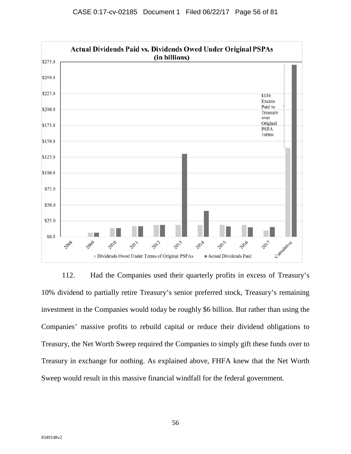

112. Had the Companies used their quarterly profits in excess of Treasury's 10% dividend to partially retire Treasury's senior preferred stock, Treasury's remaining investment in the Companies would today be roughly \$6 billion. But rather than using the Companies' massive profits to rebuild capital or reduce their dividend obligations to Treasury, the Net Worth Sweep required the Companies to simply gift these funds over to Treasury in exchange for nothing. As explained above, FHFA knew that the Net Worth Sweep would result in this massive financial windfall for the federal government.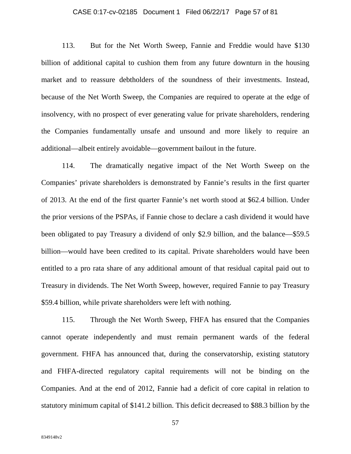# CASE 0:17-cv-02185 Document 1 Filed 06/22/17 Page 57 of 81

113. But for the Net Worth Sweep, Fannie and Freddie would have \$130 billion of additional capital to cushion them from any future downturn in the housing market and to reassure debtholders of the soundness of their investments. Instead, because of the Net Worth Sweep, the Companies are required to operate at the edge of insolvency, with no prospect of ever generating value for private shareholders, rendering the Companies fundamentally unsafe and unsound and more likely to require an additional—albeit entirely avoidable—government bailout in the future.

114. The dramatically negative impact of the Net Worth Sweep on the Companies' private shareholders is demonstrated by Fannie's results in the first quarter of 2013. At the end of the first quarter Fannie's net worth stood at \$62.4 billion. Under the prior versions of the PSPAs, if Fannie chose to declare a cash dividend it would have been obligated to pay Treasury a dividend of only \$2.9 billion, and the balance—\$59.5 billion—would have been credited to its capital. Private shareholders would have been entitled to a pro rata share of any additional amount of that residual capital paid out to Treasury in dividends. The Net Worth Sweep, however, required Fannie to pay Treasury \$59.4 billion, while private shareholders were left with nothing.

115. Through the Net Worth Sweep, FHFA has ensured that the Companies cannot operate independently and must remain permanent wards of the federal government. FHFA has announced that, during the conservatorship, existing statutory and FHFA-directed regulatory capital requirements will not be binding on the Companies. And at the end of 2012, Fannie had a deficit of core capital in relation to statutory minimum capital of \$141.2 billion. This deficit decreased to \$88.3 billion by the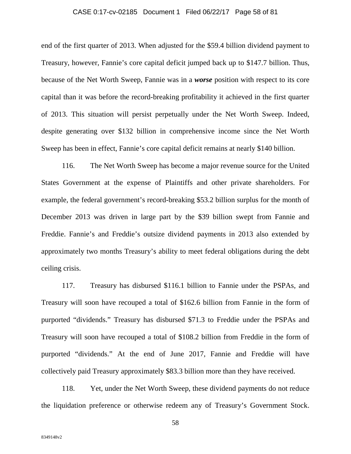# CASE 0:17-cv-02185 Document 1 Filed 06/22/17 Page 58 of 81

end of the first quarter of 2013. When adjusted for the \$59.4 billion dividend payment to Treasury, however, Fannie's core capital deficit jumped back up to \$147.7 billion. Thus, because of the Net Worth Sweep, Fannie was in a *worse* position with respect to its core capital than it was before the record-breaking profitability it achieved in the first quarter of 2013. This situation will persist perpetually under the Net Worth Sweep. Indeed, despite generating over \$132 billion in comprehensive income since the Net Worth Sweep has been in effect, Fannie's core capital deficit remains at nearly \$140 billion.

116. The Net Worth Sweep has become a major revenue source for the United States Government at the expense of Plaintiffs and other private shareholders. For example, the federal government's record-breaking \$53.2 billion surplus for the month of December 2013 was driven in large part by the \$39 billion swept from Fannie and Freddie. Fannie's and Freddie's outsize dividend payments in 2013 also extended by approximately two months Treasury's ability to meet federal obligations during the debt ceiling crisis.

117. Treasury has disbursed \$116.1 billion to Fannie under the PSPAs, and Treasury will soon have recouped a total of \$162.6 billion from Fannie in the form of purported "dividends." Treasury has disbursed \$71.3 to Freddie under the PSPAs and Treasury will soon have recouped a total of \$108.2 billion from Freddie in the form of purported "dividends." At the end of June 2017, Fannie and Freddie will have collectively paid Treasury approximately \$83.3 billion more than they have received.

118. Yet, under the Net Worth Sweep, these dividend payments do not reduce the liquidation preference or otherwise redeem any of Treasury's Government Stock.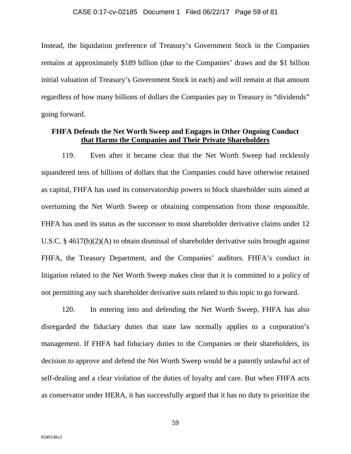Instead, the liquidation preference of Treasury's Government Stock in the Companies remains at approximately \$189 billion (due to the Companies' draws and the \$1 billion initial valuation of Treasury's Government Stock in each) and will remain at that amount regardless of how many billions of dollars the Companies pay to Treasury in "dividends" going forward.

# **FHFA Defends the Net Worth Sweep and Engages in Other Ongoing Conduct that Harms the Companies and Their Private Shareholders**

119. Even after it became clear that the Net Worth Sweep had recklessly squandered tens of billions of dollars that the Companies could have otherwise retained as capital, FHFA has used its conservatorship powers to block shareholder suits aimed at overturning the Net Worth Sweep or obtaining compensation from those responsible. FHFA has used its status as the successor to most shareholder derivative claims under 12 U.S.C. § 4617(b)(2)(A) to obtain dismissal of shareholder derivative suits brought against FHFA, the Treasury Department, and the Companies' auditors. FHFA's conduct in litigation related to the Net Worth Sweep makes clear that it is committed to a policy of not permitting any such shareholder derivative suits related to this topic to go forward.

120. In entering into and defending the Net Worth Sweep, FHFA has also disregarded the fiduciary duties that state law normally applies to a corporation's management. If FHFA had fiduciary duties to the Companies or their shareholders, its decision to approve and defend the Net Worth Sweep would be a patently unlawful act of self-dealing and a clear violation of the duties of loyalty and care. But when FHFA acts as conservator under HERA, it has successfully argued that it has no duty to prioritize the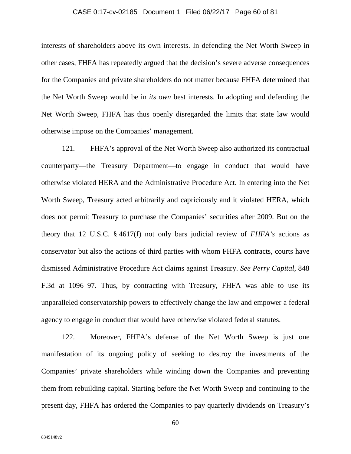# CASE 0:17-cv-02185 Document 1 Filed 06/22/17 Page 60 of 81

interests of shareholders above its own interests. In defending the Net Worth Sweep in other cases, FHFA has repeatedly argued that the decision's severe adverse consequences for the Companies and private shareholders do not matter because FHFA determined that the Net Worth Sweep would be in *its own* best interests. In adopting and defending the Net Worth Sweep, FHFA has thus openly disregarded the limits that state law would otherwise impose on the Companies' management.

121. FHFA's approval of the Net Worth Sweep also authorized its contractual counterparty—the Treasury Department—to engage in conduct that would have otherwise violated HERA and the Administrative Procedure Act. In entering into the Net Worth Sweep, Treasury acted arbitrarily and capriciously and it violated HERA, which does not permit Treasury to purchase the Companies' securities after 2009. But on the theory that 12 U.S.C. § 4617(f) not only bars judicial review of *FHFA's* actions as conservator but also the actions of third parties with whom FHFA contracts, courts have dismissed Administrative Procedure Act claims against Treasury. *See Perry Capital*, 848 F.3d at 1096–97. Thus, by contracting with Treasury, FHFA was able to use its unparalleled conservatorship powers to effectively change the law and empower a federal agency to engage in conduct that would have otherwise violated federal statutes.

122. Moreover, FHFA's defense of the Net Worth Sweep is just one manifestation of its ongoing policy of seeking to destroy the investments of the Companies' private shareholders while winding down the Companies and preventing them from rebuilding capital. Starting before the Net Worth Sweep and continuing to the present day, FHFA has ordered the Companies to pay quarterly dividends on Treasury's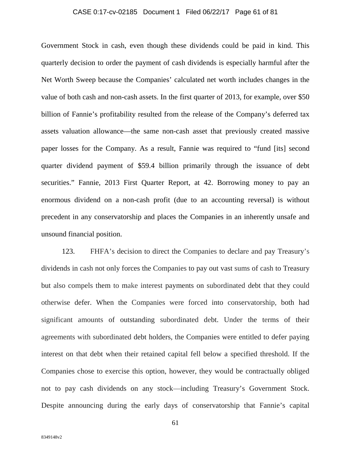# CASE 0:17-cv-02185 Document 1 Filed 06/22/17 Page 61 of 81

Government Stock in cash, even though these dividends could be paid in kind. This quarterly decision to order the payment of cash dividends is especially harmful after the Net Worth Sweep because the Companies' calculated net worth includes changes in the value of both cash and non-cash assets. In the first quarter of 2013, for example, over \$50 billion of Fannie's profitability resulted from the release of the Company's deferred tax assets valuation allowance—the same non-cash asset that previously created massive paper losses for the Company. As a result, Fannie was required to "fund [its] second quarter dividend payment of \$59.4 billion primarily through the issuance of debt securities." Fannie, 2013 First Quarter Report, at 42. Borrowing money to pay an enormous dividend on a non-cash profit (due to an accounting reversal) is without precedent in any conservatorship and places the Companies in an inherently unsafe and unsound financial position.

123. FHFA's decision to direct the Companies to declare and pay Treasury's dividends in cash not only forces the Companies to pay out vast sums of cash to Treasury but also compels them to make interest payments on subordinated debt that they could otherwise defer. When the Companies were forced into conservatorship, both had significant amounts of outstanding subordinated debt. Under the terms of their agreements with subordinated debt holders, the Companies were entitled to defer paying interest on that debt when their retained capital fell below a specified threshold. If the Companies chose to exercise this option, however, they would be contractually obliged not to pay cash dividends on any stock—including Treasury's Government Stock. Despite announcing during the early days of conservatorship that Fannie's capital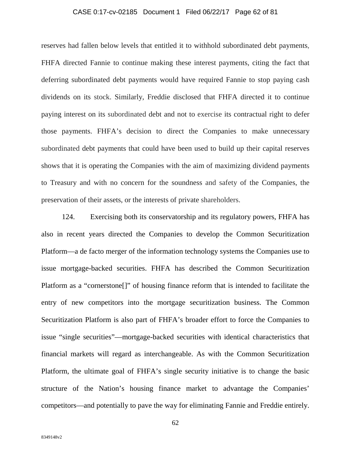# CASE 0:17-cv-02185 Document 1 Filed 06/22/17 Page 62 of 81

reserves had fallen below levels that entitled it to withhold subordinated debt payments, FHFA directed Fannie to continue making these interest payments, citing the fact that deferring subordinated debt payments would have required Fannie to stop paying cash dividends on its stock. Similarly, Freddie disclosed that FHFA directed it to continue paying interest on its subordinated debt and not to exercise its contractual right to defer those payments. FHFA's decision to direct the Companies to make unnecessary subordinated debt payments that could have been used to build up their capital reserves shows that it is operating the Companies with the aim of maximizing dividend payments to Treasury and with no concern for the soundness and safety of the Companies, the preservation of their assets, or the interests of private shareholders.

124. Exercising both its conservatorship and its regulatory powers, FHFA has also in recent years directed the Companies to develop the Common Securitization Platform—a de facto merger of the information technology systems the Companies use to issue mortgage-backed securities. FHFA has described the Common Securitization Platform as a "cornerstone[]" of housing finance reform that is intended to facilitate the entry of new competitors into the mortgage securitization business. The Common Securitization Platform is also part of FHFA's broader effort to force the Companies to issue "single securities"—mortgage-backed securities with identical characteristics that financial markets will regard as interchangeable. As with the Common Securitization Platform, the ultimate goal of FHFA's single security initiative is to change the basic structure of the Nation's housing finance market to advantage the Companies' competitors—and potentially to pave the way for eliminating Fannie and Freddie entirely.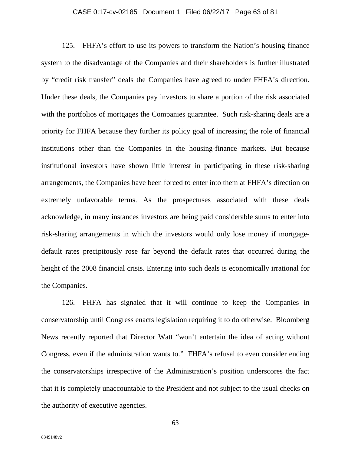### CASE 0:17-cv-02185 Document 1 Filed 06/22/17 Page 63 of 81

125. FHFA's effort to use its powers to transform the Nation's housing finance system to the disadvantage of the Companies and their shareholders is further illustrated by "credit risk transfer" deals the Companies have agreed to under FHFA's direction. Under these deals, the Companies pay investors to share a portion of the risk associated with the portfolios of mortgages the Companies guarantee. Such risk-sharing deals are a priority for FHFA because they further its policy goal of increasing the role of financial institutions other than the Companies in the housing-finance markets. But because institutional investors have shown little interest in participating in these risk-sharing arrangements, the Companies have been forced to enter into them at FHFA's direction on extremely unfavorable terms. As the prospectuses associated with these deals acknowledge, in many instances investors are being paid considerable sums to enter into risk-sharing arrangements in which the investors would only lose money if mortgagedefault rates precipitously rose far beyond the default rates that occurred during the height of the 2008 financial crisis. Entering into such deals is economically irrational for the Companies.

126. FHFA has signaled that it will continue to keep the Companies in conservatorship until Congress enacts legislation requiring it to do otherwise. Bloomberg News recently reported that Director Watt "won't entertain the idea of acting without Congress, even if the administration wants to." FHFA's refusal to even consider ending the conservatorships irrespective of the Administration's position underscores the fact that it is completely unaccountable to the President and not subject to the usual checks on the authority of executive agencies.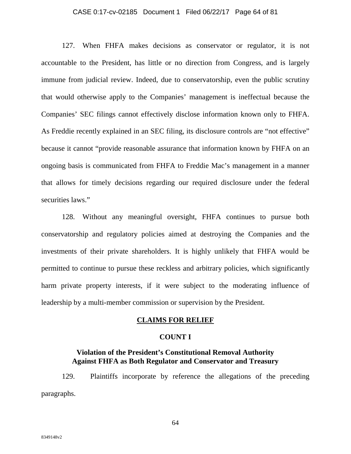### CASE 0:17-cv-02185 Document 1 Filed 06/22/17 Page 64 of 81

127. When FHFA makes decisions as conservator or regulator, it is not accountable to the President, has little or no direction from Congress, and is largely immune from judicial review. Indeed, due to conservatorship, even the public scrutiny that would otherwise apply to the Companies' management is ineffectual because the Companies' SEC filings cannot effectively disclose information known only to FHFA. As Freddie recently explained in an SEC filing, its disclosure controls are "not effective" because it cannot "provide reasonable assurance that information known by FHFA on an ongoing basis is communicated from FHFA to Freddie Mac's management in a manner that allows for timely decisions regarding our required disclosure under the federal securities laws."

128. Without any meaningful oversight, FHFA continues to pursue both conservatorship and regulatory policies aimed at destroying the Companies and the investments of their private shareholders. It is highly unlikely that FHFA would be permitted to continue to pursue these reckless and arbitrary policies, which significantly harm private property interests, if it were subject to the moderating influence of leadership by a multi-member commission or supervision by the President.

### **CLAIMS FOR RELIEF**

### **COUNT I**

# **Violation of the President's Constitutional Removal Authority Against FHFA as Both Regulator and Conservator and Treasury**

129. Plaintiffs incorporate by reference the allegations of the preceding paragraphs.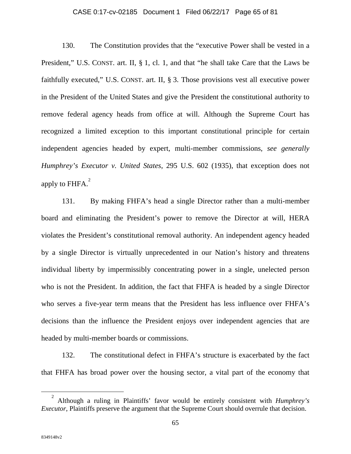### CASE 0:17-cv-02185 Document 1 Filed 06/22/17 Page 65 of 81

130. The Constitution provides that the "executive Power shall be vested in a President," U.S. CONST. art. II, § 1, cl. 1, and that "he shall take Care that the Laws be faithfully executed," U.S. CONST. art. II, § 3. Those provisions vest all executive power in the President of the United States and give the President the constitutional authority to remove federal agency heads from office at will. Although the Supreme Court has recognized a limited exception to this important constitutional principle for certain independent agencies headed by expert, multi-member commissions, *see generally Humphrey's Executor v. United States*, 295 U.S. 602 (1935), that exception does not apply to  $FHFA.<sup>2</sup>$  $FHFA.<sup>2</sup>$  $FHFA.<sup>2</sup>$ 

131. By making FHFA's head a single Director rather than a multi-member board and eliminating the President's power to remove the Director at will, HERA violates the President's constitutional removal authority. An independent agency headed by a single Director is virtually unprecedented in our Nation's history and threatens individual liberty by impermissibly concentrating power in a single, unelected person who is not the President. In addition, the fact that FHFA is headed by a single Director who serves a five-year term means that the President has less influence over FHFA's decisions than the influence the President enjoys over independent agencies that are headed by multi-member boards or commissions.

132. The constitutional defect in FHFA's structure is exacerbated by the fact that FHFA has broad power over the housing sector, a vital part of the economy that

<span id="page-64-0"></span><sup>2</sup> Although a ruling in Plaintiffs' favor would be entirely consistent with *Humphrey's Executor*, Plaintiffs preserve the argument that the Supreme Court should overrule that decision.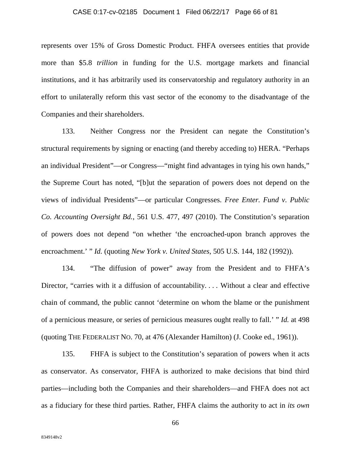### CASE 0:17-cv-02185 Document 1 Filed 06/22/17 Page 66 of 81

represents over 15% of Gross Domestic Product. FHFA oversees entities that provide more than \$5.8 *trillion* in funding for the U.S. mortgage markets and financial institutions, and it has arbitrarily used its conservatorship and regulatory authority in an effort to unilaterally reform this vast sector of the economy to the disadvantage of the Companies and their shareholders.

133. Neither Congress nor the President can negate the Constitution's structural requirements by signing or enacting (and thereby acceding to) HERA. "Perhaps an individual President"—or Congress—"might find advantages in tying his own hands," the Supreme Court has noted, "[b]ut the separation of powers does not depend on the views of individual Presidents"—or particular Congresses. *Free Enter. Fund v. Public Co. Accounting Oversight Bd.*, 561 U.S. 477, 497 (2010). The Constitution's separation of powers does not depend "on whether 'the encroached-upon branch approves the encroachment.' " *Id.* (quoting *New York v. United States*, 505 U.S. 144, 182 (1992)).

134. "The diffusion of power" away from the President and to FHFA's Director, "carries with it a diffusion of accountability.... Without a clear and effective chain of command, the public cannot 'determine on whom the blame or the punishment of a pernicious measure, or series of pernicious measures ought really to fall.' " *Id.* at 498 (quoting THE FEDERALIST NO. 70, at 476 (Alexander Hamilton) (J. Cooke ed., 1961)).

135. FHFA is subject to the Constitution's separation of powers when it acts as conservator. As conservator, FHFA is authorized to make decisions that bind third parties—including both the Companies and their shareholders—and FHFA does not act as a fiduciary for these third parties. Rather, FHFA claims the authority to act in *its own*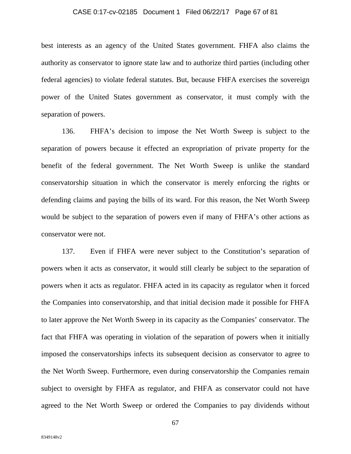### CASE 0:17-cv-02185 Document 1 Filed 06/22/17 Page 67 of 81

best interests as an agency of the United States government. FHFA also claims the authority as conservator to ignore state law and to authorize third parties (including other federal agencies) to violate federal statutes. But, because FHFA exercises the sovereign power of the United States government as conservator, it must comply with the separation of powers.

136. FHFA's decision to impose the Net Worth Sweep is subject to the separation of powers because it effected an expropriation of private property for the benefit of the federal government. The Net Worth Sweep is unlike the standard conservatorship situation in which the conservator is merely enforcing the rights or defending claims and paying the bills of its ward. For this reason, the Net Worth Sweep would be subject to the separation of powers even if many of FHFA's other actions as conservator were not.

137. Even if FHFA were never subject to the Constitution's separation of powers when it acts as conservator, it would still clearly be subject to the separation of powers when it acts as regulator. FHFA acted in its capacity as regulator when it forced the Companies into conservatorship, and that initial decision made it possible for FHFA to later approve the Net Worth Sweep in its capacity as the Companies' conservator. The fact that FHFA was operating in violation of the separation of powers when it initially imposed the conservatorships infects its subsequent decision as conservator to agree to the Net Worth Sweep. Furthermore, even during conservatorship the Companies remain subject to oversight by FHFA as regulator, and FHFA as conservator could not have agreed to the Net Worth Sweep or ordered the Companies to pay dividends without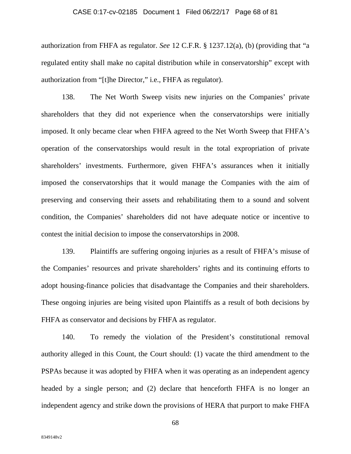#### CASE 0:17-cv-02185 Document 1 Filed 06/22/17 Page 68 of 81

authorization from FHFA as regulator. *See* 12 C.F.R. § 1237.12(a), (b) (providing that "a regulated entity shall make no capital distribution while in conservatorship" except with authorization from "[t]he Director," i.e., FHFA as regulator).

138. The Net Worth Sweep visits new injuries on the Companies' private shareholders that they did not experience when the conservatorships were initially imposed. It only became clear when FHFA agreed to the Net Worth Sweep that FHFA's operation of the conservatorships would result in the total expropriation of private shareholders' investments. Furthermore, given FHFA's assurances when it initially imposed the conservatorships that it would manage the Companies with the aim of preserving and conserving their assets and rehabilitating them to a sound and solvent condition, the Companies' shareholders did not have adequate notice or incentive to contest the initial decision to impose the conservatorships in 2008.

139. Plaintiffs are suffering ongoing injuries as a result of FHFA's misuse of the Companies' resources and private shareholders' rights and its continuing efforts to adopt housing-finance policies that disadvantage the Companies and their shareholders. These ongoing injuries are being visited upon Plaintiffs as a result of both decisions by FHFA as conservator and decisions by FHFA as regulator.

140. To remedy the violation of the President's constitutional removal authority alleged in this Count, the Court should: (1) vacate the third amendment to the PSPAs because it was adopted by FHFA when it was operating as an independent agency headed by a single person; and (2) declare that henceforth FHFA is no longer an independent agency and strike down the provisions of HERA that purport to make FHFA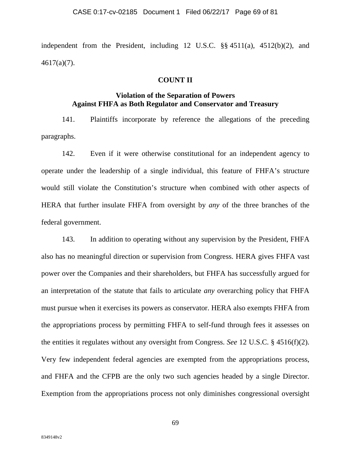independent from the President, including 12 U.S.C. §§ 4511(a), 4512(b)(2), and 4617(a)(7).

# **COUNT II**

# **Violation of the Separation of Powers Against FHFA as Both Regulator and Conservator and Treasury**

141. Plaintiffs incorporate by reference the allegations of the preceding paragraphs.

142. Even if it were otherwise constitutional for an independent agency to operate under the leadership of a single individual, this feature of FHFA's structure would still violate the Constitution's structure when combined with other aspects of HERA that further insulate FHFA from oversight by *any* of the three branches of the federal government.

143. In addition to operating without any supervision by the President, FHFA also has no meaningful direction or supervision from Congress. HERA gives FHFA vast power over the Companies and their shareholders, but FHFA has successfully argued for an interpretation of the statute that fails to articulate *any* overarching policy that FHFA must pursue when it exercises its powers as conservator. HERA also exempts FHFA from the appropriations process by permitting FHFA to self-fund through fees it assesses on the entities it regulates without any oversight from Congress. *See* 12 U.S.C. § 4516(f)(2). Very few independent federal agencies are exempted from the appropriations process, and FHFA and the CFPB are the only two such agencies headed by a single Director. Exemption from the appropriations process not only diminishes congressional oversight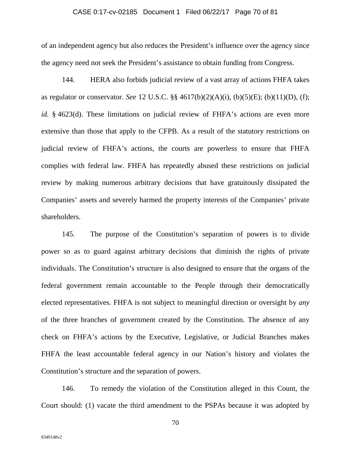### CASE 0:17-cv-02185 Document 1 Filed 06/22/17 Page 70 of 81

of an independent agency but also reduces the President's influence over the agency since the agency need not seek the President's assistance to obtain funding from Congress.

144. HERA also forbids judicial review of a vast array of actions FHFA takes as regulator or conservator. *See* 12 U.S.C. §§ 4617(b)(2)(A)(i), (b)(5)(E); (b)(11)(D), (f); *id.* § 4623(d). These limitations on judicial review of FHFA's actions are even more extensive than those that apply to the CFPB. As a result of the statutory restrictions on judicial review of FHFA's actions, the courts are powerless to ensure that FHFA complies with federal law. FHFA has repeatedly abused these restrictions on judicial review by making numerous arbitrary decisions that have gratuitously dissipated the Companies' assets and severely harmed the property interests of the Companies' private shareholders.

145. The purpose of the Constitution's separation of powers is to divide power so as to guard against arbitrary decisions that diminish the rights of private individuals. The Constitution's structure is also designed to ensure that the organs of the federal government remain accountable to the People through their democratically elected representatives. FHFA is not subject to meaningful direction or oversight by *any*  of the three branches of government created by the Constitution. The absence of any check on FHFA's actions by the Executive, Legislative, or Judicial Branches makes FHFA the least accountable federal agency in our Nation's history and violates the Constitution's structure and the separation of powers.

146. To remedy the violation of the Constitution alleged in this Count, the Court should: (1) vacate the third amendment to the PSPAs because it was adopted by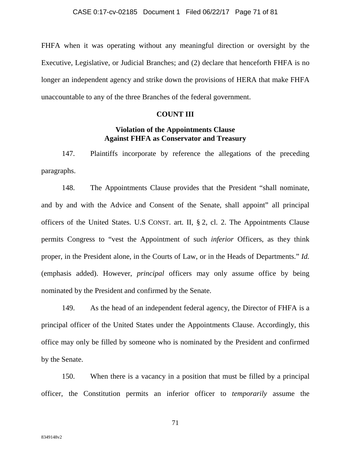FHFA when it was operating without any meaningful direction or oversight by the Executive, Legislative, or Judicial Branches; and (2) declare that henceforth FHFA is no longer an independent agency and strike down the provisions of HERA that make FHFA unaccountable to any of the three Branches of the federal government.

# **COUNT III**

# **Violation of the Appointments Clause Against FHFA as Conservator and Treasury**

147. Plaintiffs incorporate by reference the allegations of the preceding paragraphs.

148. The Appointments Clause provides that the President "shall nominate, and by and with the Advice and Consent of the Senate, shall appoint" all principal officers of the United States. U.S CONST. art. II, § 2, cl. 2. The Appointments Clause permits Congress to "vest the Appointment of such *inferior* Officers, as they think proper, in the President alone, in the Courts of Law, or in the Heads of Departments." *Id.* (emphasis added). However, *principal* officers may only assume office by being nominated by the President and confirmed by the Senate.

149. As the head of an independent federal agency, the Director of FHFA is a principal officer of the United States under the Appointments Clause. Accordingly, this office may only be filled by someone who is nominated by the President and confirmed by the Senate.

150. When there is a vacancy in a position that must be filled by a principal officer, the Constitution permits an inferior officer to *temporarily* assume the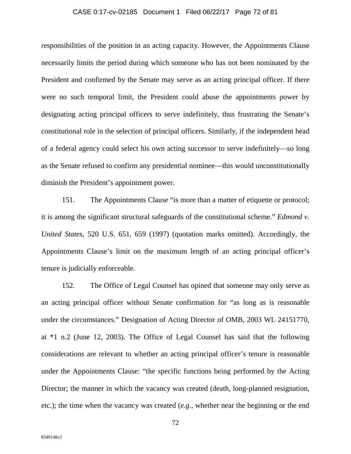# CASE 0:17-cv-02185 Document 1 Filed 06/22/17 Page 72 of 81

responsibilities of the position in an acting capacity. However, the Appointments Clause necessarily limits the period during which someone who has not been nominated by the President and confirmed by the Senate may serve as an acting principal officer. If there were no such temporal limit, the President could abuse the appointments power by designating acting principal officers to serve indefinitely, thus frustrating the Senate's constitutional role in the selection of principal officers. Similarly, if the independent head of a federal agency could select his own acting successor to serve indefinitely—so long as the Senate refused to confirm any presidential nominee—this would unconstitutionally diminish the President's appointment power.

151. The Appointments Clause "is more than a matter of etiquette or protocol; it is among the significant structural safeguards of the constitutional scheme." *Edmond v. United States*, 520 U.S. 651, 659 (1997) (quotation marks omitted). Accordingly, the Appointments Clause's limit on the maximum length of an acting principal officer's tenure is judicially enforceable.

152. The Office of Legal Counsel has opined that someone may only serve as an acting principal officer without Senate confirmation for "as long as is reasonable under the circumstances." Designation of Acting Director of OMB, 2003 WL 24151770, at \*1 n.2 (June 12, 2003). The Office of Legal Counsel has said that the following considerations are relevant to whether an acting principal officer's tenure is reasonable under the Appointments Clause: "the specific functions being performed by the Acting Director; the manner in which the vacancy was created (death, long-planned resignation, etc.); the time when the vacancy was created (*e.g.*, whether near the beginning or the end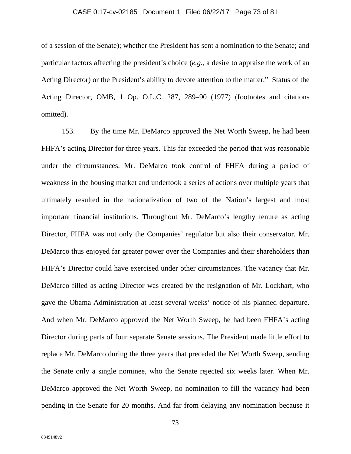### CASE 0:17-cv-02185 Document 1 Filed 06/22/17 Page 73 of 81

of a session of the Senate); whether the President has sent a nomination to the Senate; and particular factors affecting the president's choice (*e.g.*, a desire to appraise the work of an Acting Director) or the President's ability to devote attention to the matter." Status of the Acting Director, OMB, 1 Op. O.L.C. 287, 289–90 (1977) (footnotes and citations omitted).

153. By the time Mr. DeMarco approved the Net Worth Sweep, he had been FHFA's acting Director for three years. This far exceeded the period that was reasonable under the circumstances. Mr. DeMarco took control of FHFA during a period of weakness in the housing market and undertook a series of actions over multiple years that ultimately resulted in the nationalization of two of the Nation's largest and most important financial institutions. Throughout Mr. DeMarco's lengthy tenure as acting Director, FHFA was not only the Companies' regulator but also their conservator. Mr. DeMarco thus enjoyed far greater power over the Companies and their shareholders than FHFA's Director could have exercised under other circumstances. The vacancy that Mr. DeMarco filled as acting Director was created by the resignation of Mr. Lockhart, who gave the Obama Administration at least several weeks' notice of his planned departure. And when Mr. DeMarco approved the Net Worth Sweep, he had been FHFA's acting Director during parts of four separate Senate sessions. The President made little effort to replace Mr. DeMarco during the three years that preceded the Net Worth Sweep, sending the Senate only a single nominee, who the Senate rejected six weeks later. When Mr. DeMarco approved the Net Worth Sweep, no nomination to fill the vacancy had been pending in the Senate for 20 months. And far from delaying any nomination because it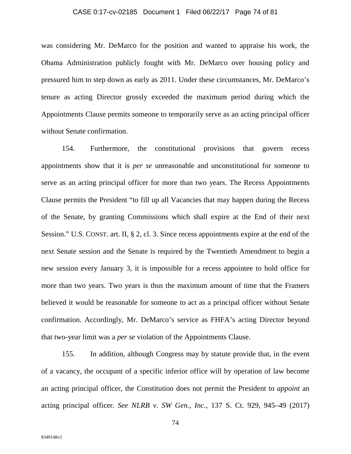## CASE 0:17-cv-02185 Document 1 Filed 06/22/17 Page 74 of 81

was considering Mr. DeMarco for the position and wanted to appraise his work, the Obama Administration publicly fought with Mr. DeMarco over housing policy and pressured him to step down as early as 2011. Under these circumstances, Mr. DeMarco's tenure as acting Director grossly exceeded the maximum period during which the Appointments Clause permits someone to temporarily serve as an acting principal officer without Senate confirmation.

154. Furthermore, the constitutional provisions that govern recess appointments show that it is *per se* unreasonable and unconstitutional for someone to serve as an acting principal officer for more than two years. The Recess Appointments Clause permits the President "to fill up all Vacancies that may happen during the Recess of the Senate, by granting Commissions which shall expire at the End of their next Session." U.S. CONST. art. II, § 2, cl. 3. Since recess appointments expire at the end of the next Senate session and the Senate is required by the Twentieth Amendment to begin a new session every January 3, it is impossible for a recess appointee to hold office for more than two years. Two years is thus the maximum amount of time that the Framers believed it would be reasonable for someone to act as a principal officer without Senate confirmation. Accordingly, Mr. DeMarco's service as FHFA's acting Director beyond that two-year limit was a *per se* violation of the Appointments Clause.

155. In addition, although Congress may by statute provide that, in the event of a vacancy, the occupant of a specific inferior office will by operation of law become an acting principal officer, the Constitution does not permit the President to *appoint* an acting principal officer. *See NLRB v. SW Gen., Inc.*, 137 S. Ct. 929, 945–49 (2017)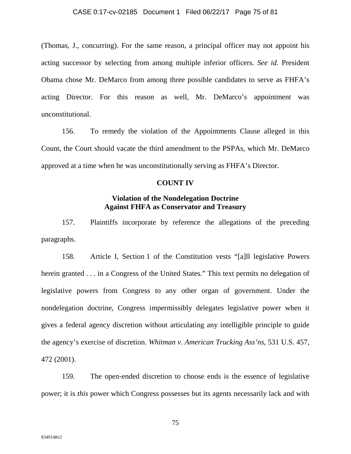### CASE 0:17-cv-02185 Document 1 Filed 06/22/17 Page 75 of 81

(Thomas, J., concurring). For the same reason, a principal officer may not appoint his acting successor by selecting from among multiple inferior officers. *See id.* President Obama chose Mr. DeMarco from among three possible candidates to serve as FHFA's acting Director. For this reason as well, Mr. DeMarco's appointment was unconstitutional.

156. To remedy the violation of the Appointments Clause alleged in this Count, the Court should vacate the third amendment to the PSPAs, which Mr. DeMarco approved at a time when he was unconstitutionally serving as FHFA's Director.

## **COUNT IV**

## **Violation of the Nondelegation Doctrine Against FHFA as Conservator and Treasury**

157. Plaintiffs incorporate by reference the allegations of the preceding paragraphs.

158. Article I, Section 1 of the Constitution vests "[a]ll legislative Powers herein granted . . . in a Congress of the United States." This text permits no delegation of legislative powers from Congress to any other organ of government. Under the nondelegation doctrine, Congress impermissibly delegates legislative power when it gives a federal agency discretion without articulating any intelligible principle to guide the agency's exercise of discretion. *Whitman v. American Trucking Ass'ns*, 531 U.S. 457, 472 (2001).

159. The open-ended discretion to choose ends is the essence of legislative power; it is *this* power which Congress possesses but its agents necessarily lack and with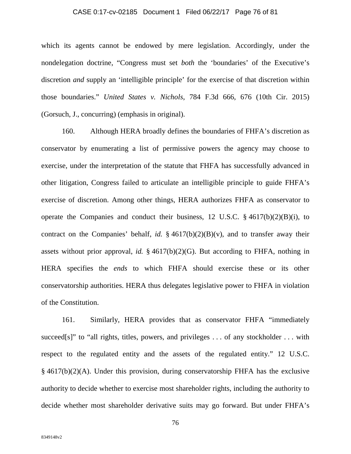## CASE 0:17-cv-02185 Document 1 Filed 06/22/17 Page 76 of 81

which its agents cannot be endowed by mere legislation. Accordingly, under the nondelegation doctrine, "Congress must set *both* the 'boundaries' of the Executive's discretion *and* supply an 'intelligible principle' for the exercise of that discretion within those boundaries." *United States v. Nichols*, 784 F.3d 666, 676 (10th Cir. 2015) (Gorsuch, J., concurring) (emphasis in original).

160. Although HERA broadly defines the boundaries of FHFA's discretion as conservator by enumerating a list of permissive powers the agency may choose to exercise, under the interpretation of the statute that FHFA has successfully advanced in other litigation, Congress failed to articulate an intelligible principle to guide FHFA's exercise of discretion. Among other things, HERA authorizes FHFA as conservator to operate the Companies and conduct their business, 12 U.S.C.  $\S$  4617(b)(2)(B)(i), to contract on the Companies' behalf, *id.*  $\frac{2}{3}$  4617(b)(2)(B)(v), and to transfer away their assets without prior approval, *id.* § 4617(b)(2)(G). But according to FHFA, nothing in HERA specifies the *ends* to which FHFA should exercise these or its other conservatorship authorities. HERA thus delegates legislative power to FHFA in violation of the Constitution.

161. Similarly, HERA provides that as conservator FHFA "immediately succeed[s]" to "all rights, titles, powers, and privileges ... of any stockholder ... with respect to the regulated entity and the assets of the regulated entity." 12 U.S.C. § 4617(b)(2)(A). Under this provision, during conservatorship FHFA has the exclusive authority to decide whether to exercise most shareholder rights, including the authority to decide whether most shareholder derivative suits may go forward. But under FHFA's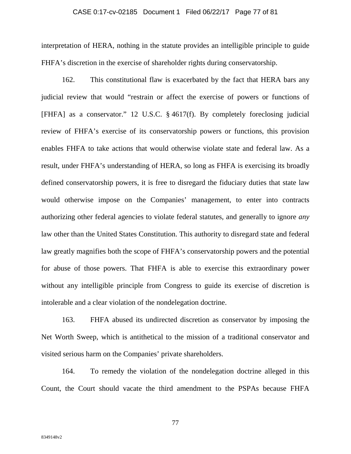#### CASE 0:17-cv-02185 Document 1 Filed 06/22/17 Page 77 of 81

interpretation of HERA, nothing in the statute provides an intelligible principle to guide FHFA's discretion in the exercise of shareholder rights during conservatorship.

162. This constitutional flaw is exacerbated by the fact that HERA bars any judicial review that would "restrain or affect the exercise of powers or functions of [FHFA] as a conservator." 12 U.S.C. § 4617(f). By completely foreclosing judicial review of FHFA's exercise of its conservatorship powers or functions, this provision enables FHFA to take actions that would otherwise violate state and federal law. As a result, under FHFA's understanding of HERA, so long as FHFA is exercising its broadly defined conservatorship powers, it is free to disregard the fiduciary duties that state law would otherwise impose on the Companies' management, to enter into contracts authorizing other federal agencies to violate federal statutes, and generally to ignore *any* law other than the United States Constitution. This authority to disregard state and federal law greatly magnifies both the scope of FHFA's conservatorship powers and the potential for abuse of those powers. That FHFA is able to exercise this extraordinary power without any intelligible principle from Congress to guide its exercise of discretion is intolerable and a clear violation of the nondelegation doctrine.

163. FHFA abused its undirected discretion as conservator by imposing the Net Worth Sweep, which is antithetical to the mission of a traditional conservator and visited serious harm on the Companies' private shareholders.

164. To remedy the violation of the nondelegation doctrine alleged in this Count, the Court should vacate the third amendment to the PSPAs because FHFA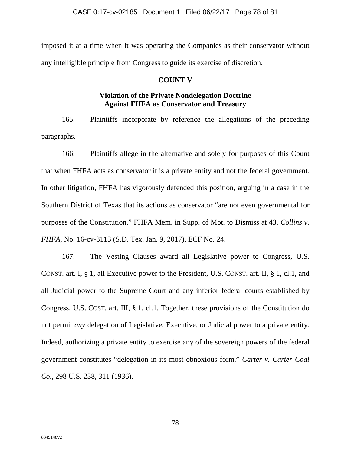imposed it at a time when it was operating the Companies as their conservator without any intelligible principle from Congress to guide its exercise of discretion.

## **COUNT V**

# **Violation of the Private Nondelegation Doctrine Against FHFA as Conservator and Treasury**

165. Plaintiffs incorporate by reference the allegations of the preceding paragraphs.

166. Plaintiffs allege in the alternative and solely for purposes of this Count that when FHFA acts as conservator it is a private entity and not the federal government. In other litigation, FHFA has vigorously defended this position, arguing in a case in the Southern District of Texas that its actions as conservator "are not even governmental for purposes of the Constitution." FHFA Mem. in Supp. of Mot. to Dismiss at 43, *Collins v. FHFA*, No. 16-cv-3113 (S.D. Tex. Jan. 9, 2017), ECF No. 24.

167. The Vesting Clauses award all Legislative power to Congress, U.S. CONST. art. I, § 1, all Executive power to the President, U.S. CONST. art. II, § 1, cl.1, and all Judicial power to the Supreme Court and any inferior federal courts established by Congress, U.S. COST. art. III, § 1, cl.1. Together, these provisions of the Constitution do not permit *any* delegation of Legislative, Executive, or Judicial power to a private entity. Indeed, authorizing a private entity to exercise any of the sovereign powers of the federal government constitutes "delegation in its most obnoxious form." *Carter v. Carter Coal Co.*, 298 U.S. 238, 311 (1936).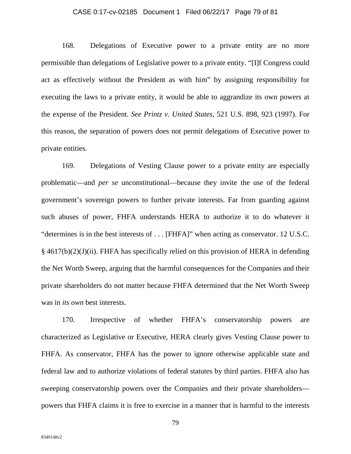## CASE 0:17-cv-02185 Document 1 Filed 06/22/17 Page 79 of 81

168. Delegations of Executive power to a private entity are no more permissible than delegations of Legislative power to a private entity. "[I]f Congress could act as effectively without the President as with him" by assigning responsibility for executing the laws to a private entity, it would be able to aggrandize its own powers at the expense of the President. *See Printz v. United States*, 521 U.S. 898, 923 (1997). For this reason, the separation of powers does not permit delegations of Executive power to private entities.

169. Delegations of Vesting Clause power to a private entity are especially problematic—and *per se* unconstitutional—because they invite the use of the federal government's sovereign powers to further private interests. Far from guarding against such abuses of power, FHFA understands HERA to authorize it to do whatever it "determines is in the best interests of . . . [FHFA]" when acting as conservator. 12 U.S.C. § 4617(b)(2)(J)(ii). FHFA has specifically relied on this provision of HERA in defending the Net Worth Sweep, arguing that the harmful consequences for the Companies and their private shareholders do not matter because FHFA determined that the Net Worth Sweep was in *its own* best interests.

170. Irrespective of whether FHFA's conservatorship powers are characterized as Legislative or Executive, HERA clearly gives Vesting Clause power to FHFA. As conservator, FHFA has the power to ignore otherwise applicable state and federal law and to authorize violations of federal statutes by third parties. FHFA also has sweeping conservatorship powers over the Companies and their private shareholders powers that FHFA claims it is free to exercise in a manner that is harmful to the interests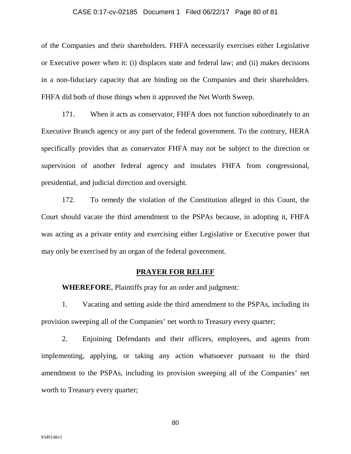### CASE 0:17-cv-02185 Document 1 Filed 06/22/17 Page 80 of 81

of the Companies and their shareholders. FHFA necessarily exercises either Legislative or Executive power when it: (i) displaces state and federal law; and (ii) makes decisions in a non-fiduciary capacity that are binding on the Companies and their shareholders. FHFA did both of those things when it approved the Net Worth Sweep.

171. When it acts as conservator, FHFA does not function subordinately to an Executive Branch agency or any part of the federal government. To the contrary, HERA specifically provides that as conservator FHFA may not be subject to the direction or supervision of another federal agency and insulates FHFA from congressional, presidential, and judicial direction and oversight.

172. To remedy the violation of the Constitution alleged in this Count, the Court should vacate the third amendment to the PSPAs because, in adopting it, FHFA was acting as a private entity and exercising either Legislative or Executive power that may only be exercised by an organ of the federal government.

## **PRAYER FOR RELIEF**

**WHEREFORE**, Plaintiffs pray for an order and judgment:

1. Vacating and setting aside the third amendment to the PSPAs, including its provision sweeping all of the Companies' net worth to Treasury every quarter;

2. Enjoining Defendants and their officers, employees, and agents from implementing, applying, or taking any action whatsoever pursuant to the third amendment to the PSPAs, including its provision sweeping all of the Companies' net worth to Treasury every quarter;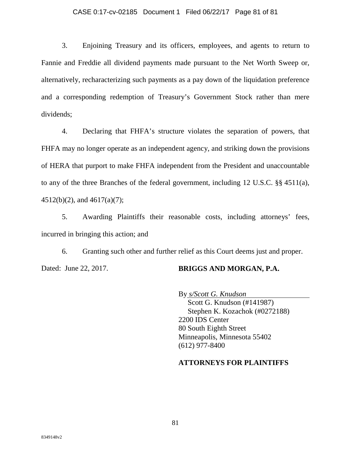## CASE 0:17-cv-02185 Document 1 Filed 06/22/17 Page 81 of 81

3. Enjoining Treasury and its officers, employees, and agents to return to Fannie and Freddie all dividend payments made pursuant to the Net Worth Sweep or, alternatively, recharacterizing such payments as a pay down of the liquidation preference and a corresponding redemption of Treasury's Government Stock rather than mere dividends;

4. Declaring that FHFA's structure violates the separation of powers, that FHFA may no longer operate as an independent agency, and striking down the provisions of HERA that purport to make FHFA independent from the President and unaccountable to any of the three Branches of the federal government, including 12 U.S.C. §§ 4511(a), 4512(b)(2), and 4617(a)(7);

5. Awarding Plaintiffs their reasonable costs, including attorneys' fees, incurred in bringing this action; and

6. Granting such other and further relief as this Court deems just and proper. Dated: June 22, 2017. **BRIGGS AND MORGAN, P.A.** 

By *s/Scott G. Knudson*  Scott G. Knudson (#141987) Stephen K. Kozachok (#0272188) 2200 IDS Center 80 South Eighth Street Minneapolis, Minnesota 55402 (612) 977-8400

## **ATTORNEYS FOR PLAINTIFFS**